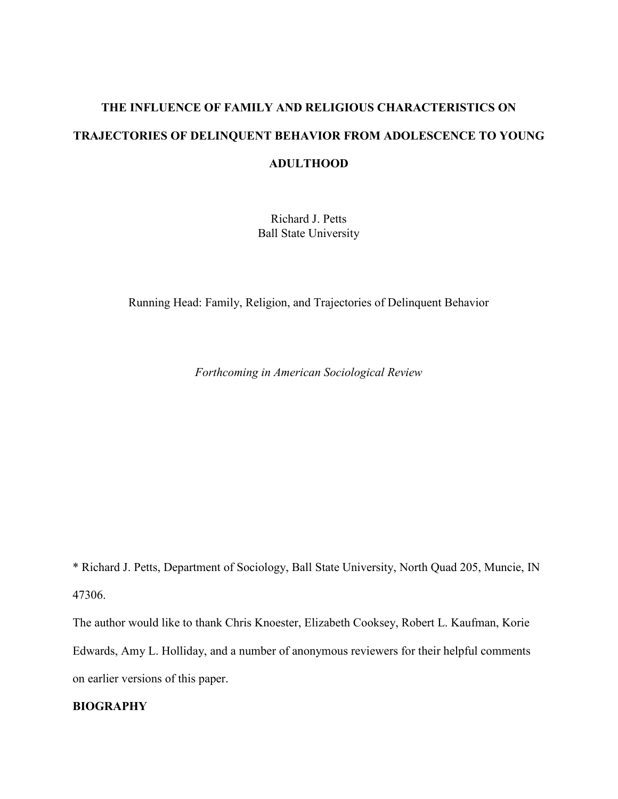# **THE INFLUENCE OF FAMILY AND RELIGIOUS CHARACTERISTICS ON TRAJECTORIES OF DELINQUENT BEHAVIOR FROM ADOLESCENCE TO YOUNG ADULTHOOD**

Richard J. Petts Ball State University

Running Head: Family, Religion, and Trajectories of Delinquent Behavior

*Forthcoming in American Sociological Review*

\* Richard J. Petts, Department of Sociology, Ball State University, North Quad 205, Muncie, IN 47306.

The author would like to thank Chris Knoester, Elizabeth Cooksey, Robert L. Kaufman, Korie Edwards, Amy L. Holliday, and a number of anonymous reviewers for their helpful comments on earlier versions of this paper.

## **BIOGRAPHY**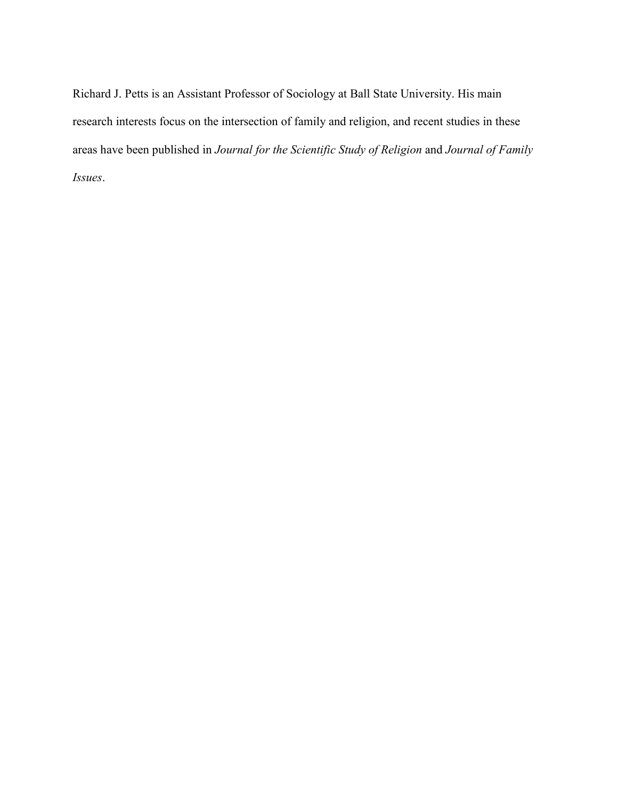Richard J. Petts is an Assistant Professor of Sociology at Ball State University. His main research interests focus on the intersection of family and religion, and recent studies in these areas have been published in *Journal for the Scientific Study of Religion* and *Journal of Family Issues*.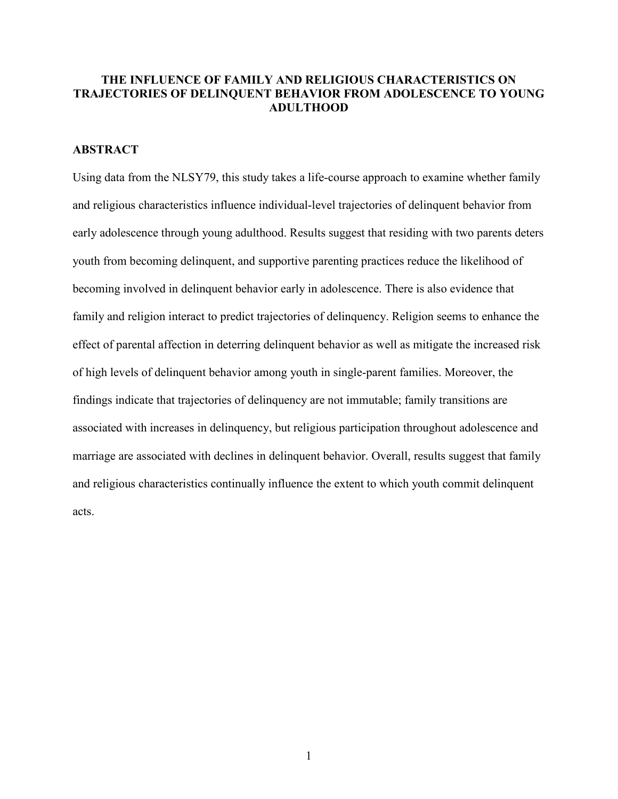## **THE INFLUENCE OF FAMILY AND RELIGIOUS CHARACTERISTICS ON TRAJECTORIES OF DELINQUENT BEHAVIOR FROM ADOLESCENCE TO YOUNG ADULTHOOD**

## **ABSTRACT**

Using data from the NLSY79, this study takes a life-course approach to examine whether family and religious characteristics influence individual-level trajectories of delinquent behavior from early adolescence through young adulthood. Results suggest that residing with two parents deters youth from becoming delinquent, and supportive parenting practices reduce the likelihood of becoming involved in delinquent behavior early in adolescence. There is also evidence that family and religion interact to predict trajectories of delinquency. Religion seems to enhance the effect of parental affection in deterring delinquent behavior as well as mitigate the increased risk of high levels of delinquent behavior among youth in single-parent families. Moreover, the findings indicate that trajectories of delinquency are not immutable; family transitions are associated with increases in delinquency, but religious participation throughout adolescence and marriage are associated with declines in delinquent behavior. Overall, results suggest that family and religious characteristics continually influence the extent to which youth commit delinquent acts.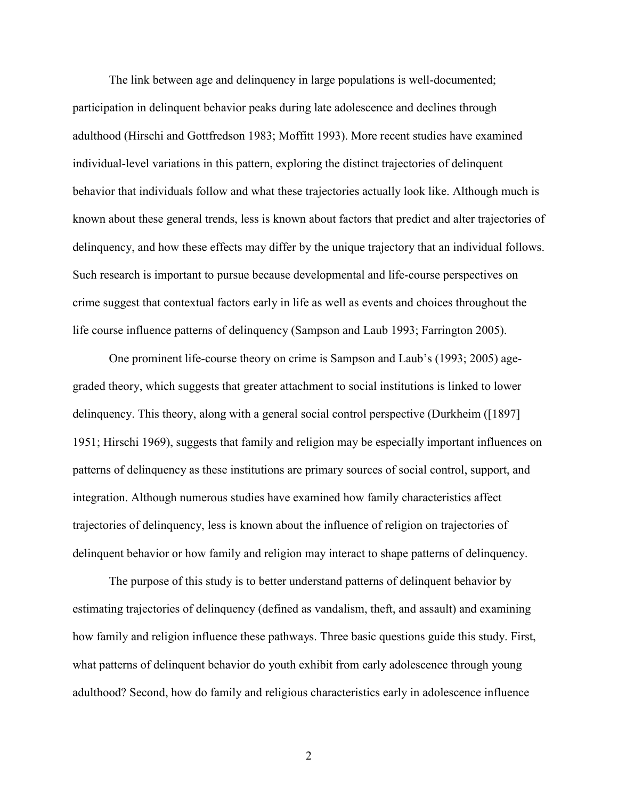The link between age and delinquency in large populations is well-documented; participation in delinquent behavior peaks during late adolescence and declines through adulthood (Hirschi and Gottfredson 1983; Moffitt 1993). More recent studies have examined individual-level variations in this pattern, exploring the distinct trajectories of delinquent behavior that individuals follow and what these trajectories actually look like. Although much is known about these general trends, less is known about factors that predict and alter trajectories of delinquency, and how these effects may differ by the unique trajectory that an individual follows. Such research is important to pursue because developmental and life-course perspectives on crime suggest that contextual factors early in life as well as events and choices throughout the life course influence patterns of delinquency (Sampson and Laub 1993; Farrington 2005).

One prominent life-course theory on crime is Sampson and Laub's (1993; 2005) agegraded theory, which suggests that greater attachment to social institutions is linked to lower delinquency. This theory, along with a general social control perspective (Durkheim ([1897] 1951; Hirschi 1969), suggests that family and religion may be especially important influences on patterns of delinquency as these institutions are primary sources of social control, support, and integration. Although numerous studies have examined how family characteristics affect trajectories of delinquency, less is known about the influence of religion on trajectories of delinquent behavior or how family and religion may interact to shape patterns of delinquency.

The purpose of this study is to better understand patterns of delinquent behavior by estimating trajectories of delinquency (defined as vandalism, theft, and assault) and examining how family and religion influence these pathways. Three basic questions guide this study. First, what patterns of delinquent behavior do youth exhibit from early adolescence through young adulthood? Second, how do family and religious characteristics early in adolescence influence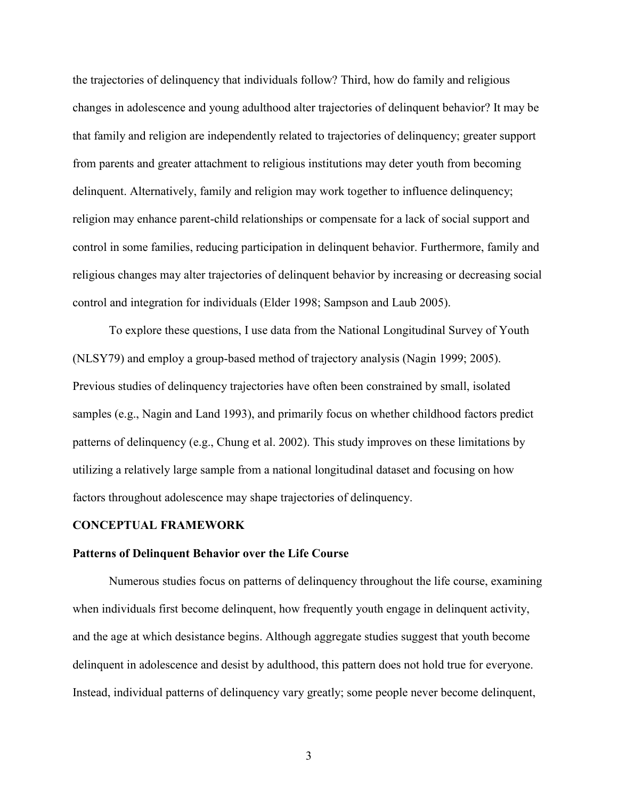the trajectories of delinquency that individuals follow? Third, how do family and religious changes in adolescence and young adulthood alter trajectories of delinquent behavior? It may be that family and religion are independently related to trajectories of delinquency; greater support from parents and greater attachment to religious institutions may deter youth from becoming delinquent. Alternatively, family and religion may work together to influence delinquency; religion may enhance parent-child relationships or compensate for a lack of social support and control in some families, reducing participation in delinquent behavior. Furthermore, family and religious changes may alter trajectories of delinquent behavior by increasing or decreasing social control and integration for individuals (Elder 1998; Sampson and Laub 2005).

To explore these questions, I use data from the National Longitudinal Survey of Youth (NLSY79) and employ a group-based method of trajectory analysis (Nagin 1999; 2005). Previous studies of delinquency trajectories have often been constrained by small, isolated samples (e.g., Nagin and Land 1993), and primarily focus on whether childhood factors predict patterns of delinquency (e.g., Chung et al. 2002). This study improves on these limitations by utilizing a relatively large sample from a national longitudinal dataset and focusing on how factors throughout adolescence may shape trajectories of delinquency.

#### **CONCEPTUAL FRAMEWORK**

#### **Patterns of Delinquent Behavior over the Life Course**

Numerous studies focus on patterns of delinquency throughout the life course, examining when individuals first become delinquent, how frequently youth engage in delinquent activity, and the age at which desistance begins. Although aggregate studies suggest that youth become delinquent in adolescence and desist by adulthood, this pattern does not hold true for everyone. Instead, individual patterns of delinquency vary greatly; some people never become delinquent,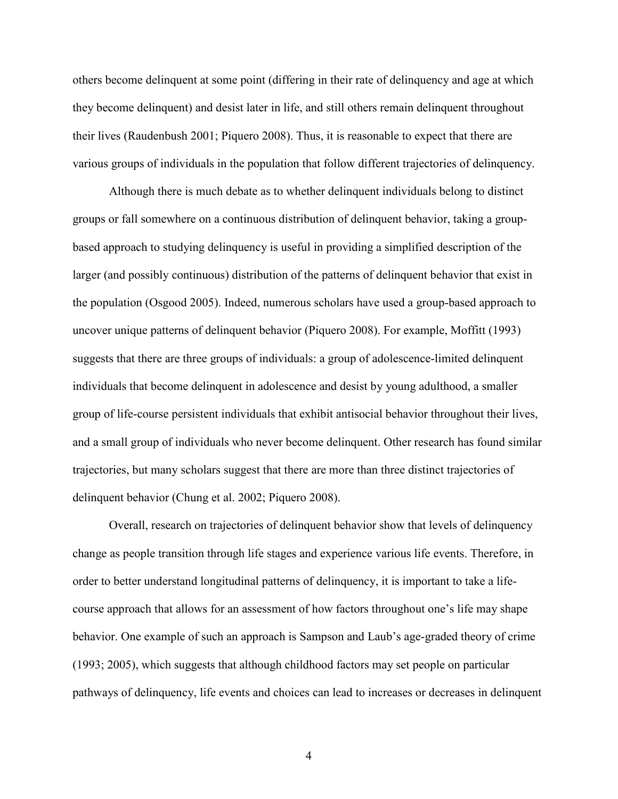others become delinquent at some point (differing in their rate of delinquency and age at which they become delinquent) and desist later in life, and still others remain delinquent throughout their lives (Raudenbush 2001; Piquero 2008). Thus, it is reasonable to expect that there are various groups of individuals in the population that follow different trajectories of delinquency.

Although there is much debate as to whether delinquent individuals belong to distinct groups or fall somewhere on a continuous distribution of delinquent behavior, taking a groupbased approach to studying delinquency is useful in providing a simplified description of the larger (and possibly continuous) distribution of the patterns of delinquent behavior that exist in the population (Osgood 2005). Indeed, numerous scholars have used a group-based approach to uncover unique patterns of delinquent behavior (Piquero 2008). For example, Moffitt (1993) suggests that there are three groups of individuals: a group of adolescence-limited delinquent individuals that become delinquent in adolescence and desist by young adulthood, a smaller group of life-course persistent individuals that exhibit antisocial behavior throughout their lives, and a small group of individuals who never become delinquent. Other research has found similar trajectories, but many scholars suggest that there are more than three distinct trajectories of delinquent behavior (Chung et al. 2002; Piquero 2008).

Overall, research on trajectories of delinquent behavior show that levels of delinquency change as people transition through life stages and experience various life events. Therefore, in order to better understand longitudinal patterns of delinquency, it is important to take a lifecourse approach that allows for an assessment of how factors throughout one's life may shape behavior. One example of such an approach is Sampson and Laub's age-graded theory of crime (1993; 2005), which suggests that although childhood factors may set people on particular pathways of delinquency, life events and choices can lead to increases or decreases in delinquent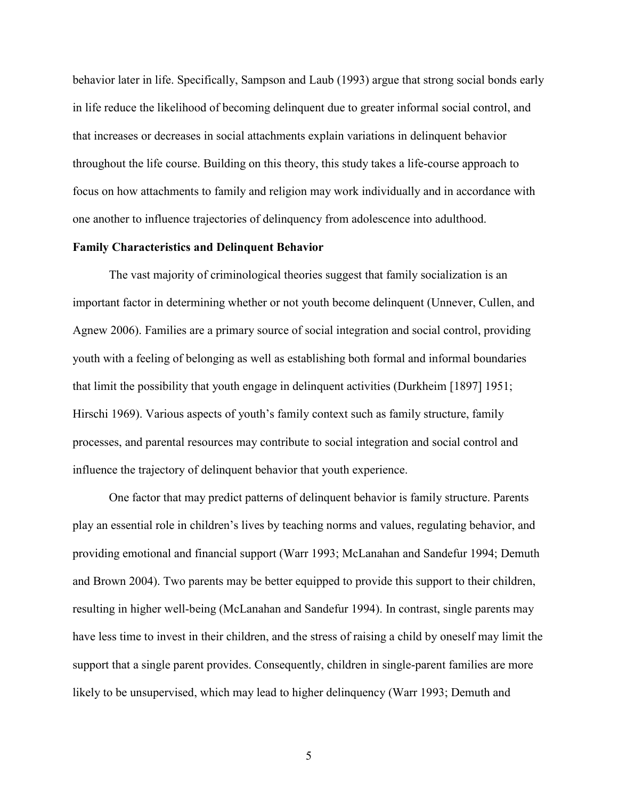behavior later in life. Specifically, Sampson and Laub (1993) argue that strong social bonds early in life reduce the likelihood of becoming delinquent due to greater informal social control, and that increases or decreases in social attachments explain variations in delinquent behavior throughout the life course. Building on this theory, this study takes a life-course approach to focus on how attachments to family and religion may work individually and in accordance with one another to influence trajectories of delinquency from adolescence into adulthood.

#### **Family Characteristics and Delinquent Behavior**

The vast majority of criminological theories suggest that family socialization is an important factor in determining whether or not youth become delinquent (Unnever, Cullen, and Agnew 2006). Families are a primary source of social integration and social control, providing youth with a feeling of belonging as well as establishing both formal and informal boundaries that limit the possibility that youth engage in delinquent activities (Durkheim [1897] 1951; Hirschi 1969). Various aspects of youth's family context such as family structure, family processes, and parental resources may contribute to social integration and social control and influence the trajectory of delinquent behavior that youth experience.

One factor that may predict patterns of delinquent behavior is family structure. Parents play an essential role in children's lives by teaching norms and values, regulating behavior, and providing emotional and financial support (Warr 1993; McLanahan and Sandefur 1994; Demuth and Brown 2004). Two parents may be better equipped to provide this support to their children, resulting in higher well-being (McLanahan and Sandefur 1994). In contrast, single parents may have less time to invest in their children, and the stress of raising a child by oneself may limit the support that a single parent provides. Consequently, children in single-parent families are more likely to be unsupervised, which may lead to higher delinquency (Warr 1993; Demuth and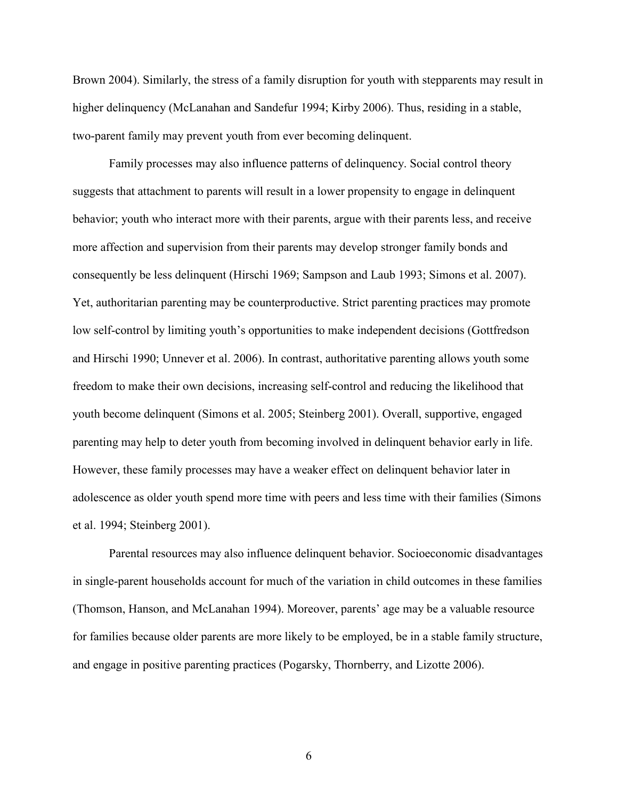Brown 2004). Similarly, the stress of a family disruption for youth with stepparents may result in higher delinquency (McLanahan and Sandefur 1994; Kirby 2006). Thus, residing in a stable, two-parent family may prevent youth from ever becoming delinquent.

Family processes may also influence patterns of delinquency. Social control theory suggests that attachment to parents will result in a lower propensity to engage in delinquent behavior; youth who interact more with their parents, argue with their parents less, and receive more affection and supervision from their parents may develop stronger family bonds and consequently be less delinquent (Hirschi 1969; Sampson and Laub 1993; Simons et al. 2007). Yet, authoritarian parenting may be counterproductive. Strict parenting practices may promote low self-control by limiting youth's opportunities to make independent decisions (Gottfredson and Hirschi 1990; Unnever et al. 2006). In contrast, authoritative parenting allows youth some freedom to make their own decisions, increasing self-control and reducing the likelihood that youth become delinquent (Simons et al. 2005; Steinberg 2001). Overall, supportive, engaged parenting may help to deter youth from becoming involved in delinquent behavior early in life. However, these family processes may have a weaker effect on delinquent behavior later in adolescence as older youth spend more time with peers and less time with their families (Simons et al. 1994; Steinberg 2001).

Parental resources may also influence delinquent behavior. Socioeconomic disadvantages in single-parent households account for much of the variation in child outcomes in these families (Thomson, Hanson, and McLanahan 1994). Moreover, parents' age may be a valuable resource for families because older parents are more likely to be employed, be in a stable family structure, and engage in positive parenting practices (Pogarsky, Thornberry, and Lizotte 2006).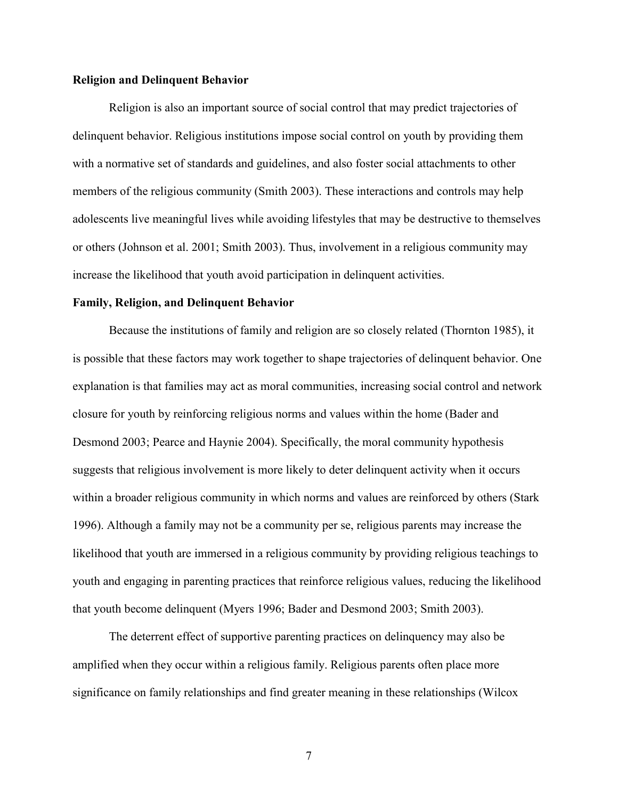## **Religion and Delinquent Behavior**

Religion is also an important source of social control that may predict trajectories of delinquent behavior. Religious institutions impose social control on youth by providing them with a normative set of standards and guidelines, and also foster social attachments to other members of the religious community (Smith 2003). These interactions and controls may help adolescents live meaningful lives while avoiding lifestyles that may be destructive to themselves or others (Johnson et al. 2001; Smith 2003). Thus, involvement in a religious community may increase the likelihood that youth avoid participation in delinquent activities.

#### **Family, Religion, and Delinquent Behavior**

Because the institutions of family and religion are so closely related (Thornton 1985), it is possible that these factors may work together to shape trajectories of delinquent behavior. One explanation is that families may act as moral communities, increasing social control and network closure for youth by reinforcing religious norms and values within the home (Bader and Desmond 2003; Pearce and Haynie 2004). Specifically, the moral community hypothesis suggests that religious involvement is more likely to deter delinquent activity when it occurs within a broader religious community in which norms and values are reinforced by others (Stark 1996). Although a family may not be a community per se, religious parents may increase the likelihood that youth are immersed in a religious community by providing religious teachings to youth and engaging in parenting practices that reinforce religious values, reducing the likelihood that youth become delinquent (Myers 1996; Bader and Desmond 2003; Smith 2003).

The deterrent effect of supportive parenting practices on delinquency may also be amplified when they occur within a religious family. Religious parents often place more significance on family relationships and find greater meaning in these relationships (Wilcox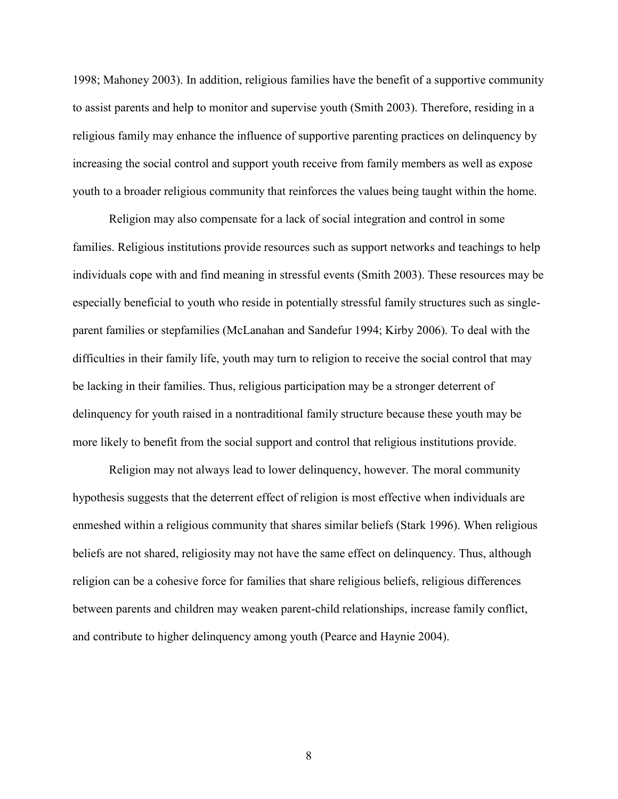1998; Mahoney 2003). In addition, religious families have the benefit of a supportive community to assist parents and help to monitor and supervise youth (Smith 2003). Therefore, residing in a religious family may enhance the influence of supportive parenting practices on delinquency by increasing the social control and support youth receive from family members as well as expose youth to a broader religious community that reinforces the values being taught within the home.

Religion may also compensate for a lack of social integration and control in some families. Religious institutions provide resources such as support networks and teachings to help individuals cope with and find meaning in stressful events (Smith 2003). These resources may be especially beneficial to youth who reside in potentially stressful family structures such as singleparent families or stepfamilies (McLanahan and Sandefur 1994; Kirby 2006). To deal with the difficulties in their family life, youth may turn to religion to receive the social control that may be lacking in their families. Thus, religious participation may be a stronger deterrent of delinquency for youth raised in a nontraditional family structure because these youth may be more likely to benefit from the social support and control that religious institutions provide.

Religion may not always lead to lower delinquency, however. The moral community hypothesis suggests that the deterrent effect of religion is most effective when individuals are enmeshed within a religious community that shares similar beliefs (Stark 1996). When religious beliefs are not shared, religiosity may not have the same effect on delinquency. Thus, although religion can be a cohesive force for families that share religious beliefs, religious differences between parents and children may weaken parent-child relationships, increase family conflict, and contribute to higher delinquency among youth (Pearce and Haynie 2004).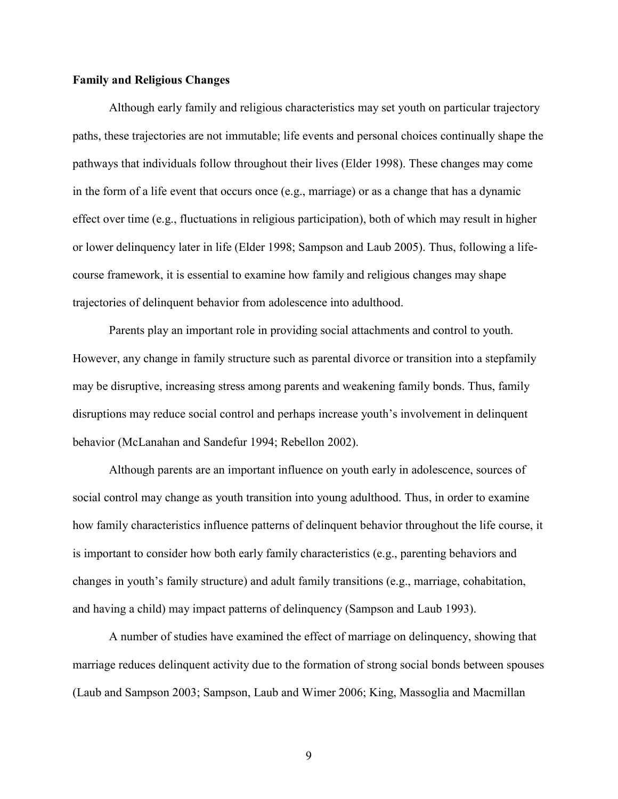#### **Family and Religious Changes**

Although early family and religious characteristics may set youth on particular trajectory paths, these trajectories are not immutable; life events and personal choices continually shape the pathways that individuals follow throughout their lives (Elder 1998). These changes may come in the form of a life event that occurs once (e.g., marriage) or as a change that has a dynamic effect over time (e.g., fluctuations in religious participation), both of which may result in higher or lower delinquency later in life (Elder 1998; Sampson and Laub 2005). Thus, following a lifecourse framework, it is essential to examine how family and religious changes may shape trajectories of delinquent behavior from adolescence into adulthood.

Parents play an important role in providing social attachments and control to youth. However, any change in family structure such as parental divorce or transition into a stepfamily may be disruptive, increasing stress among parents and weakening family bonds. Thus, family disruptions may reduce social control and perhaps increase youth's involvement in delinquent behavior (McLanahan and Sandefur 1994; Rebellon 2002).

Although parents are an important influence on youth early in adolescence, sources of social control may change as youth transition into young adulthood. Thus, in order to examine how family characteristics influence patterns of delinquent behavior throughout the life course, it is important to consider how both early family characteristics (e.g., parenting behaviors and changes in youth's family structure) and adult family transitions (e.g., marriage, cohabitation, and having a child) may impact patterns of delinquency (Sampson and Laub 1993).

A number of studies have examined the effect of marriage on delinquency, showing that marriage reduces delinquent activity due to the formation of strong social bonds between spouses (Laub and Sampson 2003; Sampson, Laub and Wimer 2006; King, Massoglia and Macmillan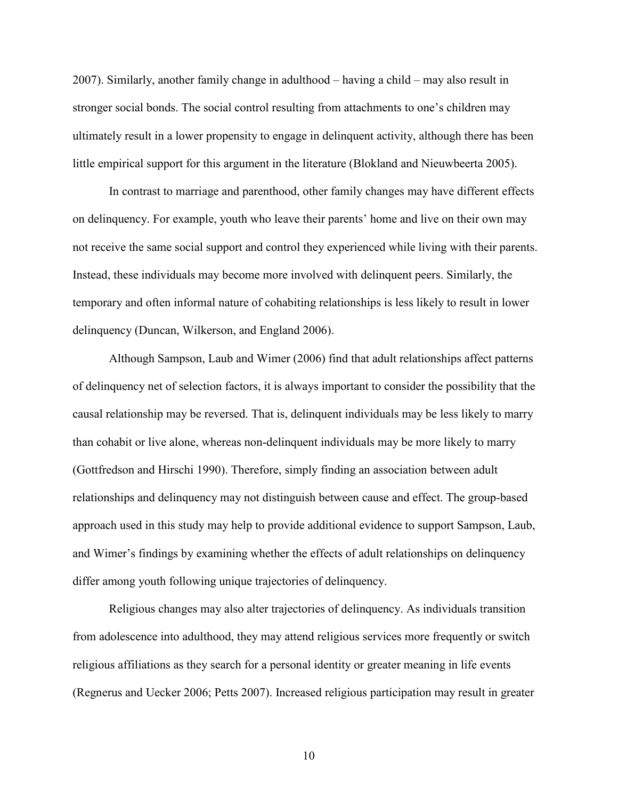2007). Similarly, another family change in adulthood – having a child – may also result in stronger social bonds. The social control resulting from attachments to one's children may ultimately result in a lower propensity to engage in delinquent activity, although there has been little empirical support for this argument in the literature (Blokland and Nieuwbeerta 2005).

In contrast to marriage and parenthood, other family changes may have different effects on delinquency. For example, youth who leave their parents' home and live on their own may not receive the same social support and control they experienced while living with their parents. Instead, these individuals may become more involved with delinquent peers. Similarly, the temporary and often informal nature of cohabiting relationships is less likely to result in lower delinquency (Duncan, Wilkerson, and England 2006).

 Although Sampson, Laub and Wimer (2006) find that adult relationships affect patterns of delinquency net of selection factors, it is always important to consider the possibility that the causal relationship may be reversed. That is, delinquent individuals may be less likely to marry than cohabit or live alone, whereas non-delinquent individuals may be more likely to marry (Gottfredson and Hirschi 1990). Therefore, simply finding an association between adult relationships and delinquency may not distinguish between cause and effect. The group-based approach used in this study may help to provide additional evidence to support Sampson, Laub, and Wimer's findings by examining whether the effects of adult relationships on delinquency differ among youth following unique trajectories of delinquency.

Religious changes may also alter trajectories of delinquency. As individuals transition from adolescence into adulthood, they may attend religious services more frequently or switch religious affiliations as they search for a personal identity or greater meaning in life events (Regnerus and Uecker 2006; Petts 2007). Increased religious participation may result in greater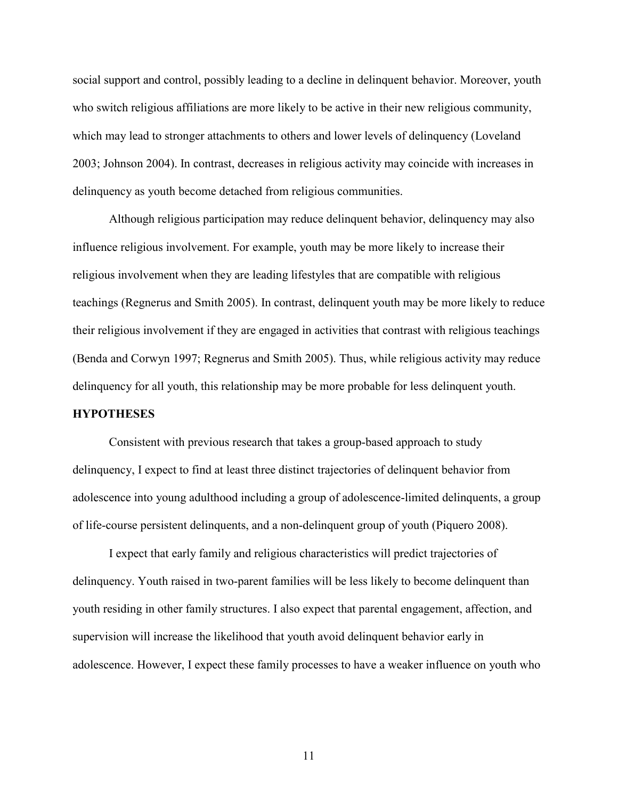social support and control, possibly leading to a decline in delinquent behavior. Moreover, youth who switch religious affiliations are more likely to be active in their new religious community, which may lead to stronger attachments to others and lower levels of delinquency (Loveland 2003; Johnson 2004). In contrast, decreases in religious activity may coincide with increases in delinquency as youth become detached from religious communities.

Although religious participation may reduce delinquent behavior, delinquency may also influence religious involvement. For example, youth may be more likely to increase their religious involvement when they are leading lifestyles that are compatible with religious teachings (Regnerus and Smith 2005). In contrast, delinquent youth may be more likely to reduce their religious involvement if they are engaged in activities that contrast with religious teachings (Benda and Corwyn 1997; Regnerus and Smith 2005). Thus, while religious activity may reduce delinquency for all youth, this relationship may be more probable for less delinquent youth.

## **HYPOTHESES**

Consistent with previous research that takes a group-based approach to study delinquency, I expect to find at least three distinct trajectories of delinquent behavior from adolescence into young adulthood including a group of adolescence-limited delinquents, a group of life-course persistent delinquents, and a non-delinquent group of youth (Piquero 2008).

I expect that early family and religious characteristics will predict trajectories of delinquency. Youth raised in two-parent families will be less likely to become delinquent than youth residing in other family structures. I also expect that parental engagement, affection, and supervision will increase the likelihood that youth avoid delinquent behavior early in adolescence. However, I expect these family processes to have a weaker influence on youth who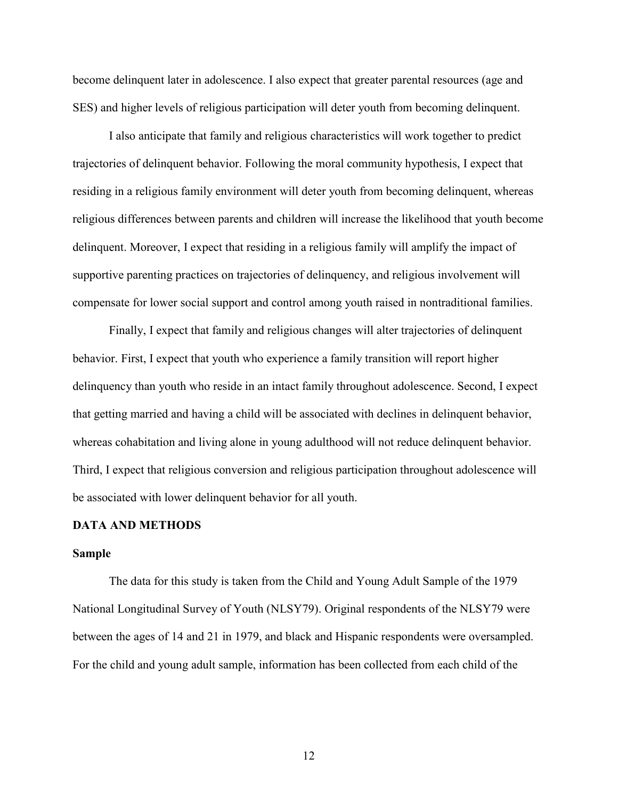become delinquent later in adolescence. I also expect that greater parental resources (age and SES) and higher levels of religious participation will deter youth from becoming delinquent.

I also anticipate that family and religious characteristics will work together to predict trajectories of delinquent behavior. Following the moral community hypothesis, I expect that residing in a religious family environment will deter youth from becoming delinquent, whereas religious differences between parents and children will increase the likelihood that youth become delinquent. Moreover, I expect that residing in a religious family will amplify the impact of supportive parenting practices on trajectories of delinquency, and religious involvement will compensate for lower social support and control among youth raised in nontraditional families.

Finally, I expect that family and religious changes will alter trajectories of delinquent behavior. First, I expect that youth who experience a family transition will report higher delinquency than youth who reside in an intact family throughout adolescence. Second, I expect that getting married and having a child will be associated with declines in delinquent behavior, whereas cohabitation and living alone in young adulthood will not reduce delinquent behavior. Third, I expect that religious conversion and religious participation throughout adolescence will be associated with lower delinquent behavior for all youth.

#### **DATA AND METHODS**

#### **Sample**

The data for this study is taken from the Child and Young Adult Sample of the 1979 National Longitudinal Survey of Youth (NLSY79). Original respondents of the NLSY79 were between the ages of 14 and 21 in 1979, and black and Hispanic respondents were oversampled. For the child and young adult sample, information has been collected from each child of the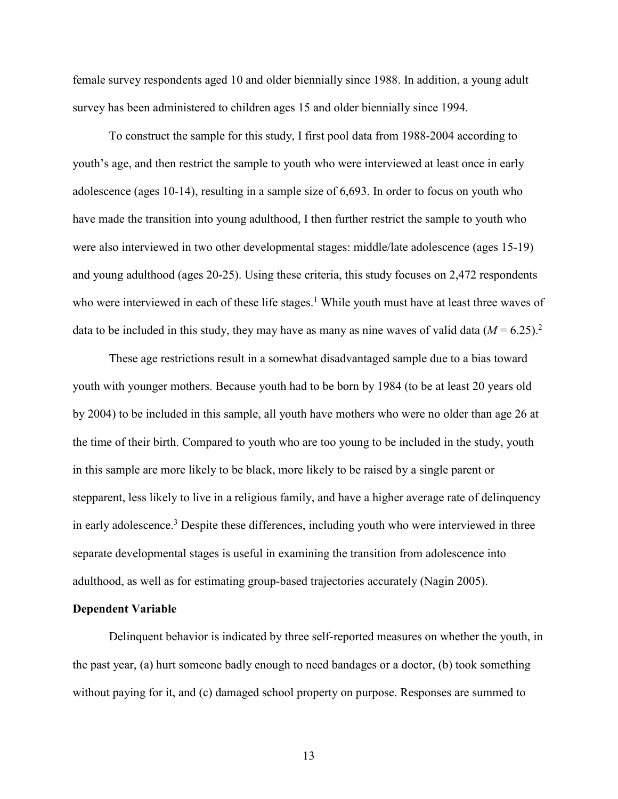female survey respondents aged 10 and older biennially since 1988. In addition, a young adult survey has been administered to children ages 15 and older biennially since 1994.

To construct the sample for this study, I first pool data from 1988-2004 according to youth's age, and then restrict the sample to youth who were interviewed at least once in early adolescence (ages 10-14), resulting in a sample size of 6,693. In order to focus on youth who have made the transition into young adulthood, I then further restrict the sample to youth who were also interviewed in two other developmental stages: middle/late adolescence (ages 15-19) and young adulthood (ages 20-25). Using these criteria, this study focuses on 2,472 respondents who were interviewed in each of these life stages.<sup>1</sup> While youth must have at least three waves of data to be included in this study, they may have as many as nine waves of valid data  $(M = 6.25)^2$ .

These age restrictions result in a somewhat disadvantaged sample due to a bias toward youth with younger mothers. Because youth had to be born by 1984 (to be at least 20 years old by 2004) to be included in this sample, all youth have mothers who were no older than age 26 at the time of their birth. Compared to youth who are too young to be included in the study, youth in this sample are more likely to be black, more likely to be raised by a single parent or stepparent, less likely to live in a religious family, and have a higher average rate of delinquency in early adolescence.<sup>3</sup> Despite these differences, including youth who were interviewed in three separate developmental stages is useful in examining the transition from adolescence into adulthood, as well as for estimating group-based trajectories accurately (Nagin 2005).

### **Dependent Variable**

Delinquent behavior is indicated by three self-reported measures on whether the youth, in the past year, (a) hurt someone badly enough to need bandages or a doctor, (b) took something without paying for it, and (c) damaged school property on purpose. Responses are summed to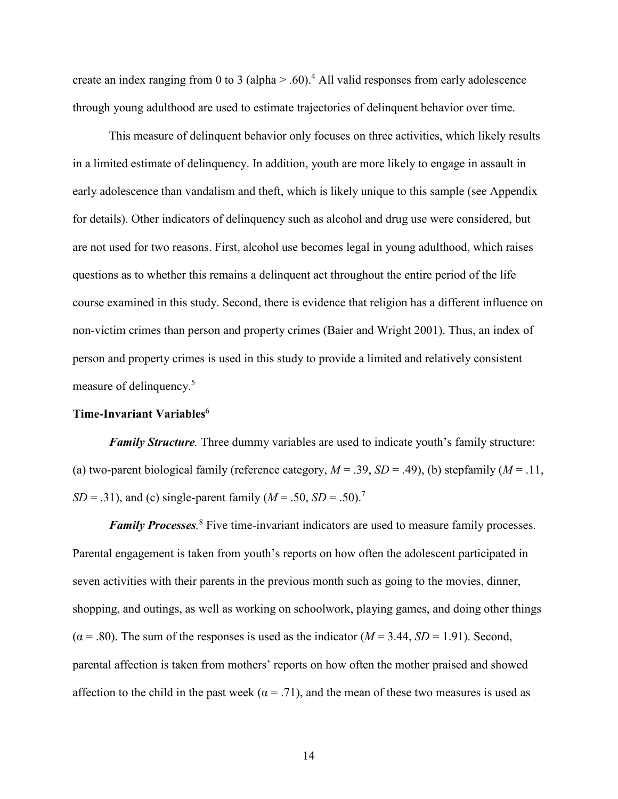create an index ranging from 0 to 3 (alpha  $> 0.60$ ).<sup>4</sup> All valid responses from early adolescence through young adulthood are used to estimate trajectories of delinquent behavior over time.

This measure of delinquent behavior only focuses on three activities, which likely results in a limited estimate of delinquency. In addition, youth are more likely to engage in assault in early adolescence than vandalism and theft, which is likely unique to this sample (see Appendix for details). Other indicators of delinquency such as alcohol and drug use were considered, but are not used for two reasons. First, alcohol use becomes legal in young adulthood, which raises questions as to whether this remains a delinquent act throughout the entire period of the life course examined in this study. Second, there is evidence that religion has a different influence on non-victim crimes than person and property crimes (Baier and Wright 2001). Thus, an index of person and property crimes is used in this study to provide a limited and relatively consistent measure of delinquency.<sup>5</sup>

#### **Time-Invariant Variables**<sup>6</sup>

*Family Structure.* Three dummy variables are used to indicate youth's family structure: (a) two-parent biological family (reference category,  $M = .39$ ,  $SD = .49$ ), (b) stepfamily ( $M = .11$ ,  $SD = .31$ ), and (c) single-parent family  $(M = .50, SD = .50)^{7}$ 

*Family Processes.* <sup>8</sup> Five time-invariant indicators are used to measure family processes. Parental engagement is taken from youth's reports on how often the adolescent participated in seven activities with their parents in the previous month such as going to the movies, dinner, shopping, and outings, as well as working on schoolwork, playing games, and doing other things  $(\alpha = .80)$ . The sum of the responses is used as the indicator ( $M = 3.44$ ,  $SD = 1.91$ ). Second, parental affection is taken from mothers' reports on how often the mother praised and showed affection to the child in the past week ( $\alpha = .71$ ), and the mean of these two measures is used as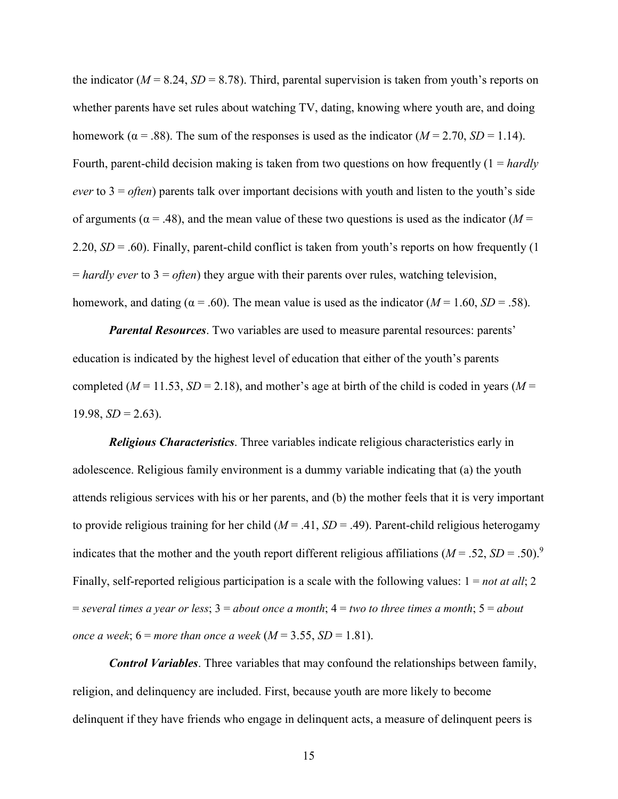the indicator ( $M = 8.24$ ,  $SD = 8.78$ ). Third, parental supervision is taken from youth's reports on whether parents have set rules about watching TV, dating, knowing where youth are, and doing homework ( $\alpha$  = .88). The sum of the responses is used as the indicator ( $M = 2.70$ ,  $SD = 1.14$ ). Fourth, parent-child decision making is taken from two questions on how frequently (1 = *hardly ever* to 3 = *often*) parents talk over important decisions with youth and listen to the youth's side of arguments ( $\alpha$  = .48), and the mean value of these two questions is used as the indicator ( $M$  = 2.20, *SD* = .60). Finally, parent-child conflict is taken from youth's reports on how frequently (1 = *hardly ever* to 3 = *often*) they argue with their parents over rules, watching television, homework, and dating ( $\alpha$  = .60). The mean value is used as the indicator ( $M = 1.60$ ,  $SD = .58$ ).

*Parental Resources*. Two variables are used to measure parental resources: parents' education is indicated by the highest level of education that either of the youth's parents completed ( $M = 11.53$ ,  $SD = 2.18$ ), and mother's age at birth of the child is coded in years ( $M =$  $19.98, SD = 2.63$ ).

*Religious Characteristics*. Three variables indicate religious characteristics early in adolescence. Religious family environment is a dummy variable indicating that (a) the youth attends religious services with his or her parents, and (b) the mother feels that it is very important to provide religious training for her child  $(M = .41, SD = .49)$ . Parent-child religious heterogamy indicates that the mother and the youth report different religious affiliations  $(M = .52, SD = .50)^9$ Finally, self-reported religious participation is a scale with the following values: 1 = *not at all*; 2 = *several times a year or less*; 3 = *about once a month*; 4 = *two to three times a month*; 5 = *about once a week*;  $6 = more than once a week (M = 3.55, SD = 1.81).$ 

*Control Variables*. Three variables that may confound the relationships between family, religion, and delinquency are included. First, because youth are more likely to become delinquent if they have friends who engage in delinquent acts, a measure of delinquent peers is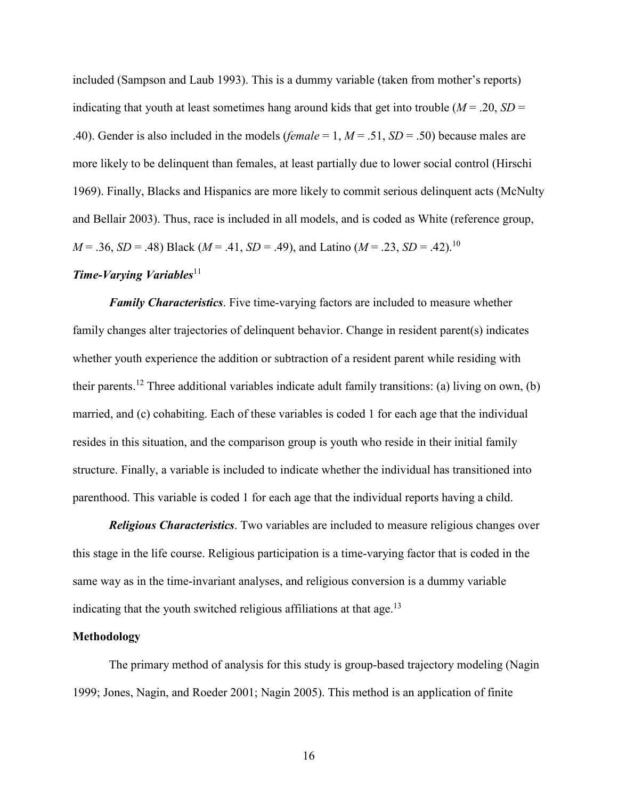included (Sampson and Laub 1993). This is a dummy variable (taken from mother's reports) indicating that youth at least sometimes hang around kids that get into trouble ( $M = .20$ ,  $SD =$ .40). Gender is also included in the models (*female* = 1, *M* = .51, *SD* = .50) because males are more likely to be delinquent than females, at least partially due to lower social control (Hirschi 1969). Finally, Blacks and Hispanics are more likely to commit serious delinquent acts (McNulty and Bellair 2003). Thus, race is included in all models, and is coded as White (reference group, *M* = .36, *SD* = .48) Black (*M* = .41, *SD* = .49), and Latino (*M* = .23, *SD* = .42). 10

### *Time-Varying Variables*<sup>11</sup>

*Family Characteristics*. Five time-varying factors are included to measure whether family changes alter trajectories of delinquent behavior. Change in resident parent(s) indicates whether youth experience the addition or subtraction of a resident parent while residing with their parents.<sup>12</sup> Three additional variables indicate adult family transitions: (a) living on own, (b) married, and (c) cohabiting. Each of these variables is coded 1 for each age that the individual resides in this situation, and the comparison group is youth who reside in their initial family structure. Finally, a variable is included to indicate whether the individual has transitioned into parenthood. This variable is coded 1 for each age that the individual reports having a child.

*Religious Characteristics*. Two variables are included to measure religious changes over this stage in the life course. Religious participation is a time-varying factor that is coded in the same way as in the time-invariant analyses, and religious conversion is a dummy variable indicating that the youth switched religious affiliations at that age.<sup>13</sup>

#### **Methodology**

The primary method of analysis for this study is group-based trajectory modeling (Nagin 1999; Jones, Nagin, and Roeder 2001; Nagin 2005). This method is an application of finite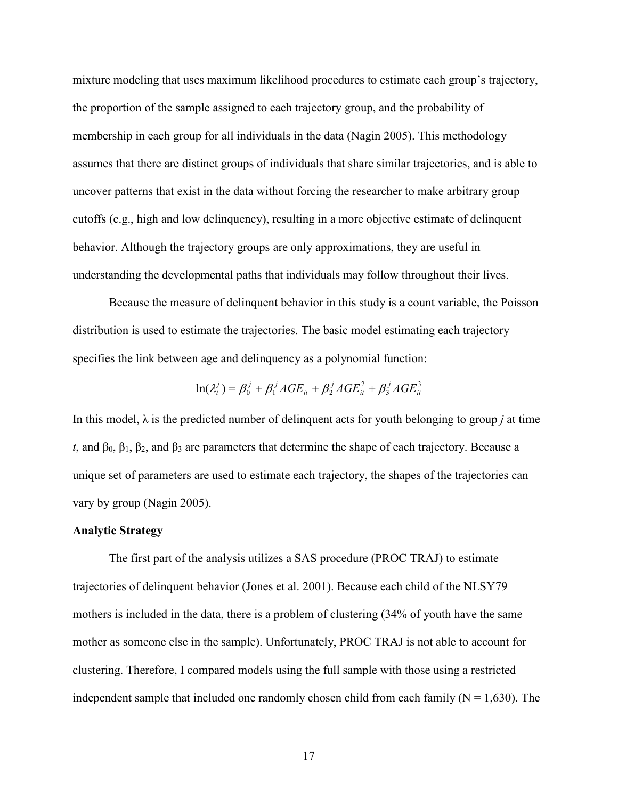mixture modeling that uses maximum likelihood procedures to estimate each group's trajectory, the proportion of the sample assigned to each trajectory group, and the probability of membership in each group for all individuals in the data (Nagin 2005). This methodology assumes that there are distinct groups of individuals that share similar trajectories, and is able to uncover patterns that exist in the data without forcing the researcher to make arbitrary group cutoffs (e.g., high and low delinquency), resulting in a more objective estimate of delinquent behavior. Although the trajectory groups are only approximations, they are useful in understanding the developmental paths that individuals may follow throughout their lives.

Because the measure of delinquent behavior in this study is a count variable, the Poisson distribution is used to estimate the trajectories. The basic model estimating each trajectory specifies the link between age and delinquency as a polynomial function:

$$
\ln(\lambda_t^j) = \beta_0^j + \beta_1^j AGE_{it} + \beta_2^j AGE_{it}^2 + \beta_3^j AGE_{it}^3
$$

In this model,  $\lambda$  is the predicted number of delinquent acts for youth belonging to group *j* at time *t*, and  $\beta_0$ ,  $\beta_1$ ,  $\beta_2$ , and  $\beta_3$  are parameters that determine the shape of each trajectory. Because a unique set of parameters are used to estimate each trajectory, the shapes of the trajectories can vary by group (Nagin 2005).

#### **Analytic Strategy**

The first part of the analysis utilizes a SAS procedure (PROC TRAJ) to estimate trajectories of delinquent behavior (Jones et al. 2001). Because each child of the NLSY79 mothers is included in the data, there is a problem of clustering (34% of youth have the same mother as someone else in the sample). Unfortunately, PROC TRAJ is not able to account for clustering. Therefore, I compared models using the full sample with those using a restricted independent sample that included one randomly chosen child from each family  $(N = 1,630)$ . The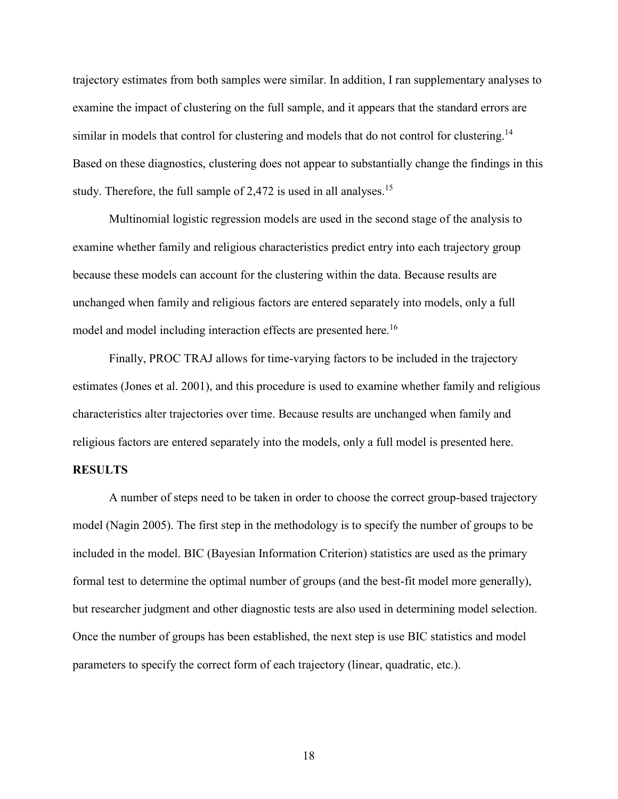trajectory estimates from both samples were similar. In addition, I ran supplementary analyses to examine the impact of clustering on the full sample, and it appears that the standard errors are similar in models that control for clustering and models that do not control for clustering.<sup>14</sup> Based on these diagnostics, clustering does not appear to substantially change the findings in this study. Therefore, the full sample of 2,472 is used in all analyses.<sup>15</sup>

Multinomial logistic regression models are used in the second stage of the analysis to examine whether family and religious characteristics predict entry into each trajectory group because these models can account for the clustering within the data. Because results are unchanged when family and religious factors are entered separately into models, only a full model and model including interaction effects are presented here.<sup>16</sup>

Finally, PROC TRAJ allows for time-varying factors to be included in the trajectory estimates (Jones et al. 2001), and this procedure is used to examine whether family and religious characteristics alter trajectories over time. Because results are unchanged when family and religious factors are entered separately into the models, only a full model is presented here.

#### **RESULTS**

A number of steps need to be taken in order to choose the correct group-based trajectory model (Nagin 2005). The first step in the methodology is to specify the number of groups to be included in the model. BIC (Bayesian Information Criterion) statistics are used as the primary formal test to determine the optimal number of groups (and the best-fit model more generally), but researcher judgment and other diagnostic tests are also used in determining model selection. Once the number of groups has been established, the next step is use BIC statistics and model parameters to specify the correct form of each trajectory (linear, quadratic, etc.).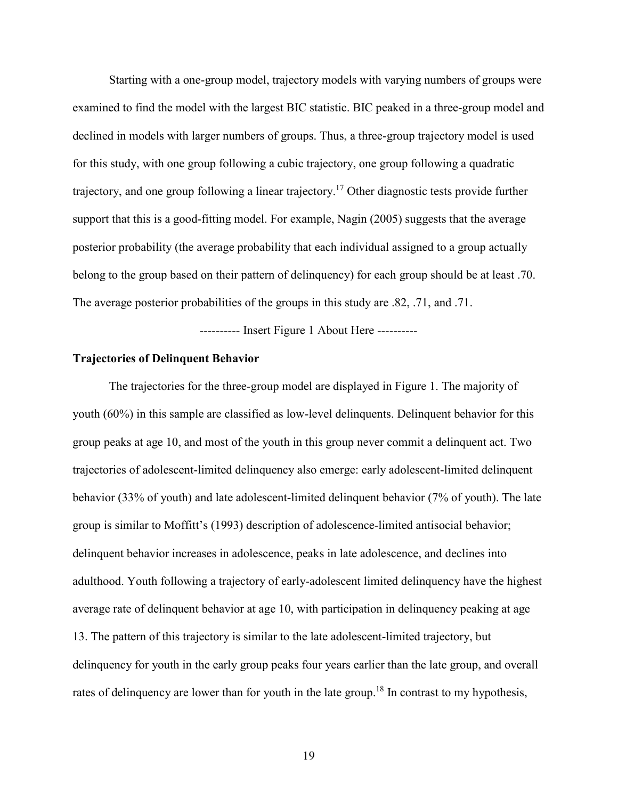Starting with a one-group model, trajectory models with varying numbers of groups were examined to find the model with the largest BIC statistic. BIC peaked in a three-group model and declined in models with larger numbers of groups. Thus, a three-group trajectory model is used for this study, with one group following a cubic trajectory, one group following a quadratic trajectory, and one group following a linear trajectory.<sup>17</sup> Other diagnostic tests provide further support that this is a good-fitting model. For example, Nagin (2005) suggests that the average posterior probability (the average probability that each individual assigned to a group actually belong to the group based on their pattern of delinquency) for each group should be at least .70. The average posterior probabilities of the groups in this study are .82, .71, and .71.

---------- Insert Figure 1 About Here ----------

#### **Trajectories of Delinquent Behavior**

The trajectories for the three-group model are displayed in Figure 1. The majority of youth (60%) in this sample are classified as low-level delinquents. Delinquent behavior for this group peaks at age 10, and most of the youth in this group never commit a delinquent act. Two trajectories of adolescent-limited delinquency also emerge: early adolescent-limited delinquent behavior (33% of youth) and late adolescent-limited delinquent behavior (7% of youth). The late group is similar to Moffitt's (1993) description of adolescence-limited antisocial behavior; delinquent behavior increases in adolescence, peaks in late adolescence, and declines into adulthood. Youth following a trajectory of early-adolescent limited delinquency have the highest average rate of delinquent behavior at age 10, with participation in delinquency peaking at age 13. The pattern of this trajectory is similar to the late adolescent-limited trajectory, but delinquency for youth in the early group peaks four years earlier than the late group, and overall rates of delinquency are lower than for youth in the late group.<sup>18</sup> In contrast to my hypothesis,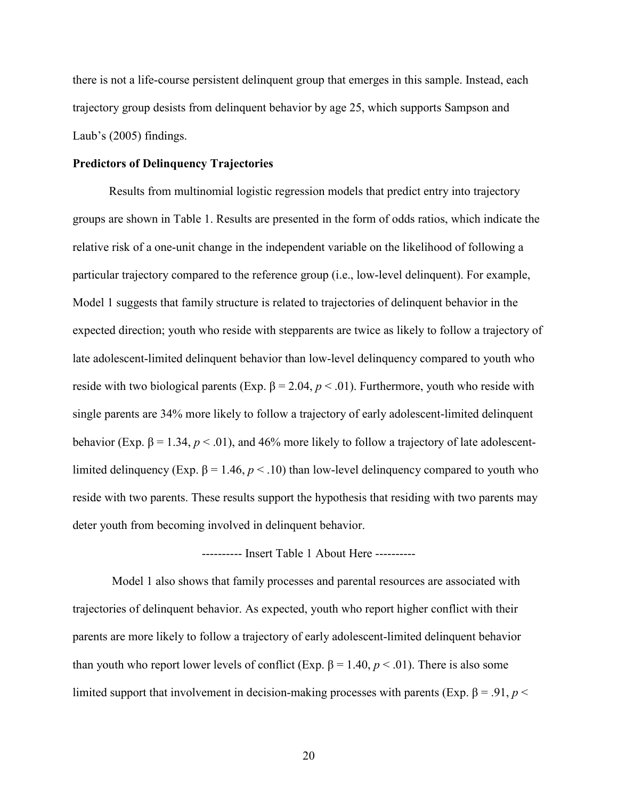there is not a life-course persistent delinquent group that emerges in this sample. Instead, each trajectory group desists from delinquent behavior by age 25, which supports Sampson and Laub's (2005) findings.

### **Predictors of Delinquency Trajectories**

Results from multinomial logistic regression models that predict entry into trajectory groups are shown in Table 1. Results are presented in the form of odds ratios, which indicate the relative risk of a one-unit change in the independent variable on the likelihood of following a particular trajectory compared to the reference group (i.e., low-level delinquent). For example, Model 1 suggests that family structure is related to trajectories of delinquent behavior in the expected direction; youth who reside with stepparents are twice as likely to follow a trajectory of late adolescent-limited delinquent behavior than low-level delinquency compared to youth who reside with two biological parents (Exp. β = 2.04,  $p < .01$ ). Furthermore, youth who reside with single parents are 34% more likely to follow a trajectory of early adolescent-limited delinquent behavior (Exp.  $\beta = 1.34$ ,  $p < 0.01$ ), and 46% more likely to follow a trajectory of late adolescentlimited delinquency (Exp. β = 1.46,  $p < 10$ ) than low-level delinquency compared to youth who reside with two parents. These results support the hypothesis that residing with two parents may deter youth from becoming involved in delinquent behavior.

## ---------- Insert Table 1 About Here ----------

Model 1 also shows that family processes and parental resources are associated with trajectories of delinquent behavior. As expected, youth who report higher conflict with their parents are more likely to follow a trajectory of early adolescent-limited delinquent behavior than youth who report lower levels of conflict (Exp.  $β = 1.40, p < .01$ ). There is also some limited support that involvement in decision-making processes with parents (Exp. β = .91, *p* <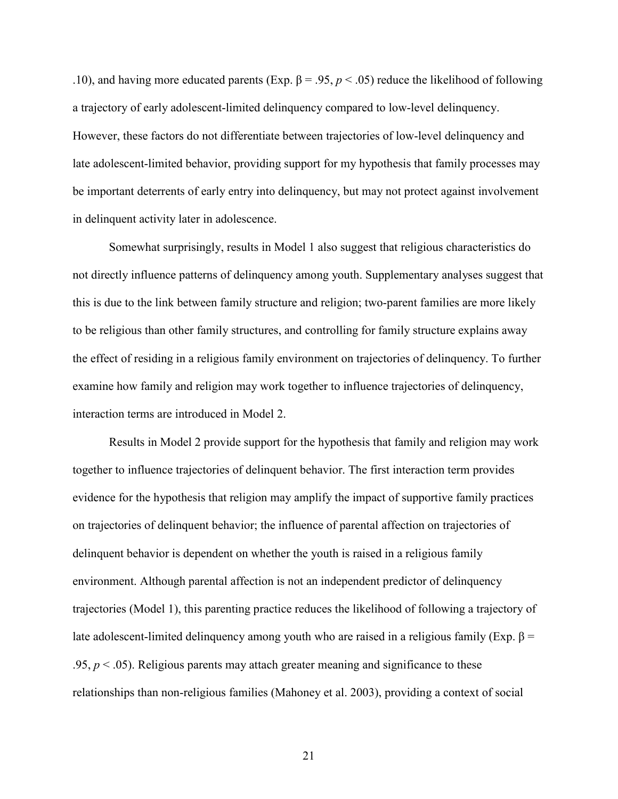.10), and having more educated parents (Exp.  $\beta = .95, p < .05$ ) reduce the likelihood of following a trajectory of early adolescent-limited delinquency compared to low-level delinquency. However, these factors do not differentiate between trajectories of low-level delinquency and late adolescent-limited behavior, providing support for my hypothesis that family processes may be important deterrents of early entry into delinquency, but may not protect against involvement in delinquent activity later in adolescence.

Somewhat surprisingly, results in Model 1 also suggest that religious characteristics do not directly influence patterns of delinquency among youth. Supplementary analyses suggest that this is due to the link between family structure and religion; two-parent families are more likely to be religious than other family structures, and controlling for family structure explains away the effect of residing in a religious family environment on trajectories of delinquency. To further examine how family and religion may work together to influence trajectories of delinquency, interaction terms are introduced in Model 2.

Results in Model 2 provide support for the hypothesis that family and religion may work together to influence trajectories of delinquent behavior. The first interaction term provides evidence for the hypothesis that religion may amplify the impact of supportive family practices on trajectories of delinquent behavior; the influence of parental affection on trajectories of delinquent behavior is dependent on whether the youth is raised in a religious family environment. Although parental affection is not an independent predictor of delinquency trajectories (Model 1), this parenting practice reduces the likelihood of following a trajectory of late adolescent-limited delinquency among youth who are raised in a religious family (Exp. β = .95,  $p < 0.05$ ). Religious parents may attach greater meaning and significance to these relationships than non-religious families (Mahoney et al. 2003), providing a context of social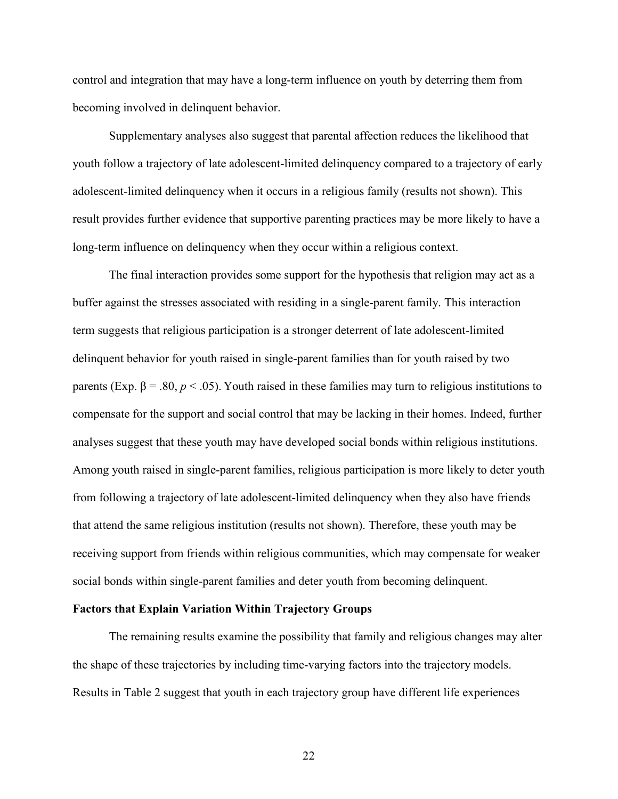control and integration that may have a long-term influence on youth by deterring them from becoming involved in delinquent behavior.

Supplementary analyses also suggest that parental affection reduces the likelihood that youth follow a trajectory of late adolescent-limited delinquency compared to a trajectory of early adolescent-limited delinquency when it occurs in a religious family (results not shown). This result provides further evidence that supportive parenting practices may be more likely to have a long-term influence on delinquency when they occur within a religious context.

The final interaction provides some support for the hypothesis that religion may act as a buffer against the stresses associated with residing in a single-parent family. This interaction term suggests that religious participation is a stronger deterrent of late adolescent-limited delinquent behavior for youth raised in single-parent families than for youth raised by two parents (Exp. β = .80, *p* < .05). Youth raised in these families may turn to religious institutions to compensate for the support and social control that may be lacking in their homes. Indeed, further analyses suggest that these youth may have developed social bonds within religious institutions. Among youth raised in single-parent families, religious participation is more likely to deter youth from following a trajectory of late adolescent-limited delinquency when they also have friends that attend the same religious institution (results not shown). Therefore, these youth may be receiving support from friends within religious communities, which may compensate for weaker social bonds within single-parent families and deter youth from becoming delinquent.

#### **Factors that Explain Variation Within Trajectory Groups**

The remaining results examine the possibility that family and religious changes may alter the shape of these trajectories by including time-varying factors into the trajectory models. Results in Table 2 suggest that youth in each trajectory group have different life experiences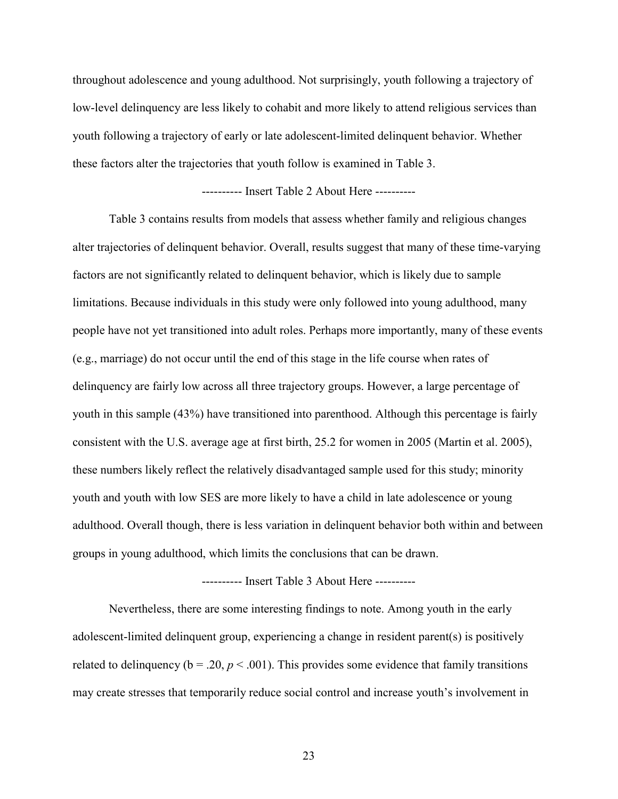throughout adolescence and young adulthood. Not surprisingly, youth following a trajectory of low-level delinquency are less likely to cohabit and more likely to attend religious services than youth following a trajectory of early or late adolescent-limited delinquent behavior. Whether these factors alter the trajectories that youth follow is examined in Table 3.

## ---------- Insert Table 2 About Here ----------

Table 3 contains results from models that assess whether family and religious changes alter trajectories of delinquent behavior. Overall, results suggest that many of these time-varying factors are not significantly related to delinquent behavior, which is likely due to sample limitations. Because individuals in this study were only followed into young adulthood, many people have not yet transitioned into adult roles. Perhaps more importantly, many of these events (e.g., marriage) do not occur until the end of this stage in the life course when rates of delinquency are fairly low across all three trajectory groups. However, a large percentage of youth in this sample (43%) have transitioned into parenthood. Although this percentage is fairly consistent with the U.S. average age at first birth, 25.2 for women in 2005 (Martin et al. 2005), these numbers likely reflect the relatively disadvantaged sample used for this study; minority youth and youth with low SES are more likely to have a child in late adolescence or young adulthood. Overall though, there is less variation in delinquent behavior both within and between groups in young adulthood, which limits the conclusions that can be drawn.

#### ---------- Insert Table 3 About Here ----------

Nevertheless, there are some interesting findings to note. Among youth in the early adolescent-limited delinquent group, experiencing a change in resident parent(s) is positively related to delinquency ( $b = .20$ ,  $p < .001$ ). This provides some evidence that family transitions may create stresses that temporarily reduce social control and increase youth's involvement in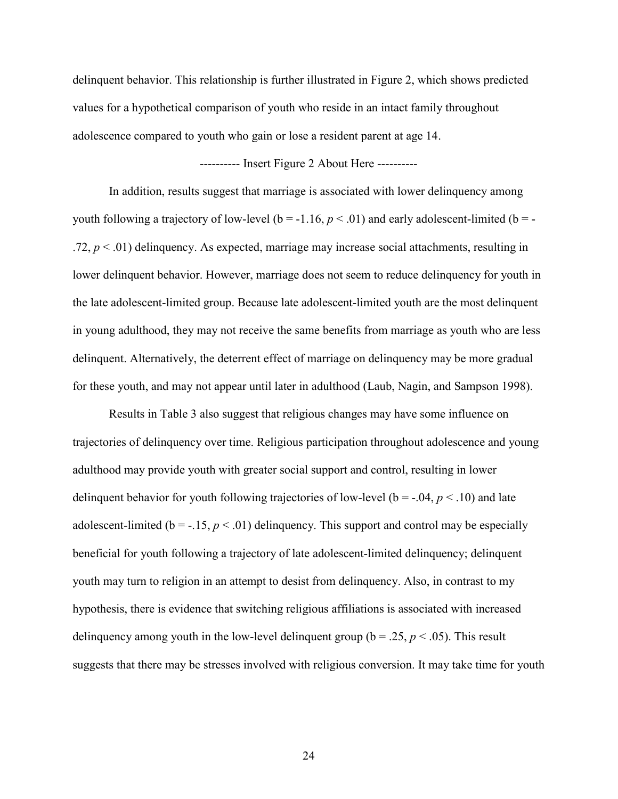delinquent behavior. This relationship is further illustrated in Figure 2, which shows predicted values for a hypothetical comparison of youth who reside in an intact family throughout adolescence compared to youth who gain or lose a resident parent at age 14.

## ---------- Insert Figure 2 About Here ----------

In addition, results suggest that marriage is associated with lower delinquency among youth following a trajectory of low-level ( $b = -1.16$ ,  $p < .01$ ) and early adolescent-limited ( $b = -1$ .72,  $p < .01$ ) delinquency. As expected, marriage may increase social attachments, resulting in lower delinquent behavior. However, marriage does not seem to reduce delinquency for youth in the late adolescent-limited group. Because late adolescent-limited youth are the most delinquent in young adulthood, they may not receive the same benefits from marriage as youth who are less delinquent. Alternatively, the deterrent effect of marriage on delinquency may be more gradual for these youth, and may not appear until later in adulthood (Laub, Nagin, and Sampson 1998).

Results in Table 3 also suggest that religious changes may have some influence on trajectories of delinquency over time. Religious participation throughout adolescence and young adulthood may provide youth with greater social support and control, resulting in lower delinquent behavior for youth following trajectories of low-level ( $b = -0.04$ ,  $p < 0.10$ ) and late adolescent-limited ( $b = -.15$ ,  $p < .01$ ) delinquency. This support and control may be especially beneficial for youth following a trajectory of late adolescent-limited delinquency; delinquent youth may turn to religion in an attempt to desist from delinquency. Also, in contrast to my hypothesis, there is evidence that switching religious affiliations is associated with increased delinquency among youth in the low-level delinquent group ( $b = .25$ ,  $p < .05$ ). This result suggests that there may be stresses involved with religious conversion. It may take time for youth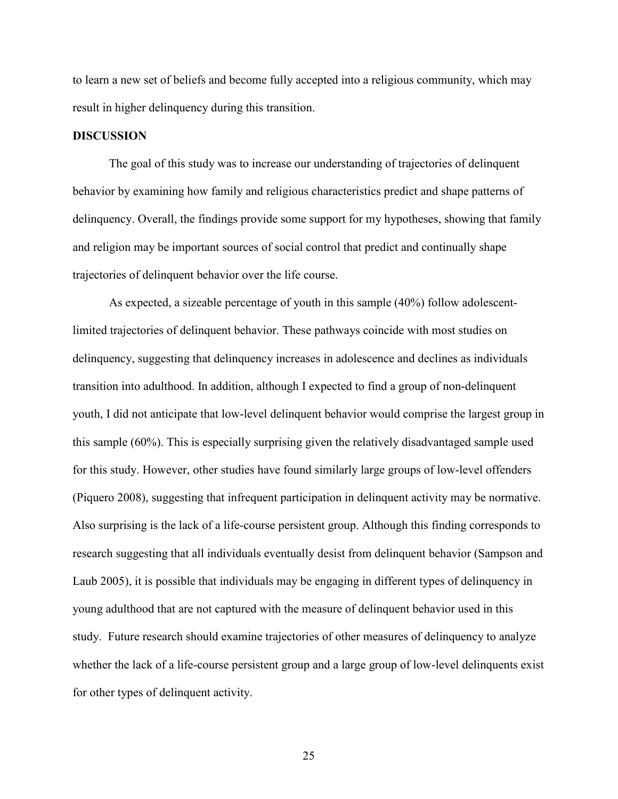to learn a new set of beliefs and become fully accepted into a religious community, which may result in higher delinquency during this transition.

#### **DISCUSSION**

The goal of this study was to increase our understanding of trajectories of delinquent behavior by examining how family and religious characteristics predict and shape patterns of delinquency. Overall, the findings provide some support for my hypotheses, showing that family and religion may be important sources of social control that predict and continually shape trajectories of delinquent behavior over the life course.

As expected, a sizeable percentage of youth in this sample (40%) follow adolescentlimited trajectories of delinquent behavior. These pathways coincide with most studies on delinquency, suggesting that delinquency increases in adolescence and declines as individuals transition into adulthood. In addition, although I expected to find a group of non-delinquent youth, I did not anticipate that low-level delinquent behavior would comprise the largest group in this sample (60%). This is especially surprising given the relatively disadvantaged sample used for this study. However, other studies have found similarly large groups of low-level offenders (Piquero 2008), suggesting that infrequent participation in delinquent activity may be normative. Also surprising is the lack of a life-course persistent group. Although this finding corresponds to research suggesting that all individuals eventually desist from delinquent behavior (Sampson and Laub 2005), it is possible that individuals may be engaging in different types of delinquency in young adulthood that are not captured with the measure of delinquent behavior used in this study. Future research should examine trajectories of other measures of delinquency to analyze whether the lack of a life-course persistent group and a large group of low-level delinquents exist for other types of delinquent activity.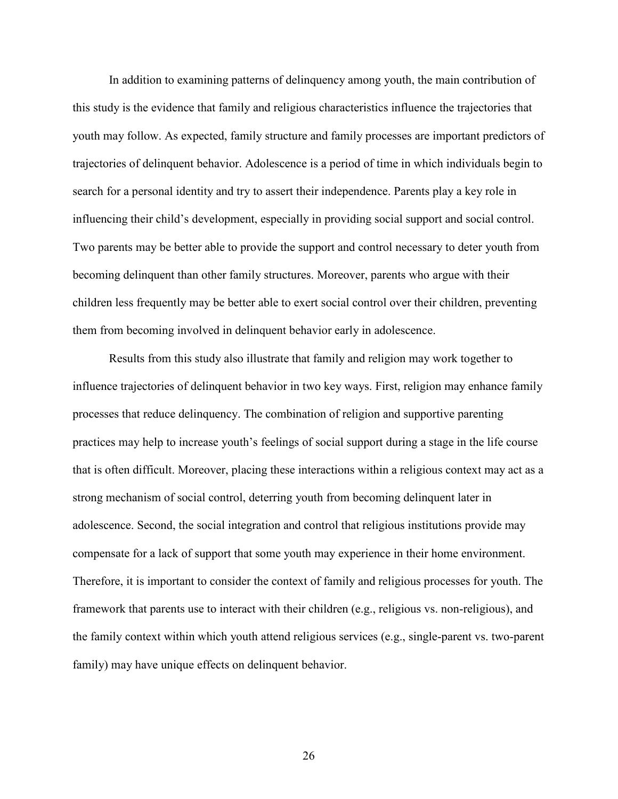In addition to examining patterns of delinquency among youth, the main contribution of this study is the evidence that family and religious characteristics influence the trajectories that youth may follow. As expected, family structure and family processes are important predictors of trajectories of delinquent behavior. Adolescence is a period of time in which individuals begin to search for a personal identity and try to assert their independence. Parents play a key role in influencing their child's development, especially in providing social support and social control. Two parents may be better able to provide the support and control necessary to deter youth from becoming delinquent than other family structures. Moreover, parents who argue with their children less frequently may be better able to exert social control over their children, preventing them from becoming involved in delinquent behavior early in adolescence.

Results from this study also illustrate that family and religion may work together to influence trajectories of delinquent behavior in two key ways. First, religion may enhance family processes that reduce delinquency. The combination of religion and supportive parenting practices may help to increase youth's feelings of social support during a stage in the life course that is often difficult. Moreover, placing these interactions within a religious context may act as a strong mechanism of social control, deterring youth from becoming delinquent later in adolescence. Second, the social integration and control that religious institutions provide may compensate for a lack of support that some youth may experience in their home environment. Therefore, it is important to consider the context of family and religious processes for youth. The framework that parents use to interact with their children (e.g., religious vs. non-religious), and the family context within which youth attend religious services (e.g., single-parent vs. two-parent family) may have unique effects on delinquent behavior.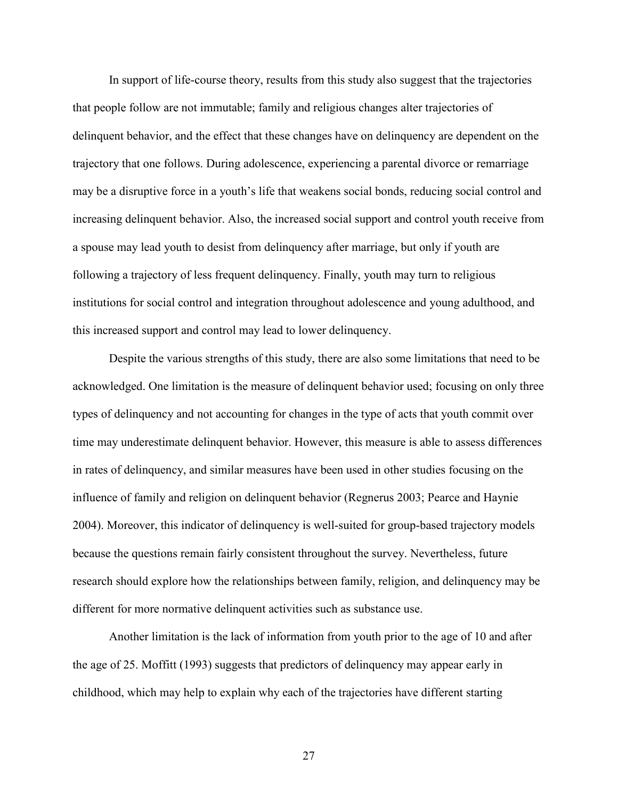In support of life-course theory, results from this study also suggest that the trajectories that people follow are not immutable; family and religious changes alter trajectories of delinquent behavior, and the effect that these changes have on delinquency are dependent on the trajectory that one follows. During adolescence, experiencing a parental divorce or remarriage may be a disruptive force in a youth's life that weakens social bonds, reducing social control and increasing delinquent behavior. Also, the increased social support and control youth receive from a spouse may lead youth to desist from delinquency after marriage, but only if youth are following a trajectory of less frequent delinquency. Finally, youth may turn to religious institutions for social control and integration throughout adolescence and young adulthood, and this increased support and control may lead to lower delinquency.

Despite the various strengths of this study, there are also some limitations that need to be acknowledged. One limitation is the measure of delinquent behavior used; focusing on only three types of delinquency and not accounting for changes in the type of acts that youth commit over time may underestimate delinquent behavior. However, this measure is able to assess differences in rates of delinquency, and similar measures have been used in other studies focusing on the influence of family and religion on delinquent behavior (Regnerus 2003; Pearce and Haynie 2004). Moreover, this indicator of delinquency is well-suited for group-based trajectory models because the questions remain fairly consistent throughout the survey. Nevertheless, future research should explore how the relationships between family, religion, and delinquency may be different for more normative delinquent activities such as substance use.

Another limitation is the lack of information from youth prior to the age of 10 and after the age of 25. Moffitt (1993) suggests that predictors of delinquency may appear early in childhood, which may help to explain why each of the trajectories have different starting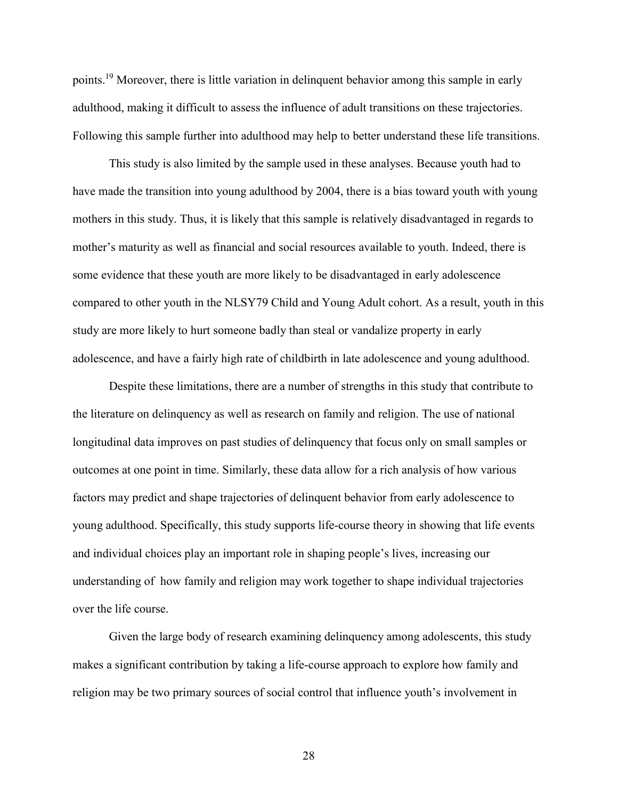points.<sup>19</sup> Moreover, there is little variation in delinquent behavior among this sample in early adulthood, making it difficult to assess the influence of adult transitions on these trajectories. Following this sample further into adulthood may help to better understand these life transitions.

This study is also limited by the sample used in these analyses. Because youth had to have made the transition into young adulthood by 2004, there is a bias toward youth with young mothers in this study. Thus, it is likely that this sample is relatively disadvantaged in regards to mother's maturity as well as financial and social resources available to youth. Indeed, there is some evidence that these youth are more likely to be disadvantaged in early adolescence compared to other youth in the NLSY79 Child and Young Adult cohort. As a result, youth in this study are more likely to hurt someone badly than steal or vandalize property in early adolescence, and have a fairly high rate of childbirth in late adolescence and young adulthood.

Despite these limitations, there are a number of strengths in this study that contribute to the literature on delinquency as well as research on family and religion. The use of national longitudinal data improves on past studies of delinquency that focus only on small samples or outcomes at one point in time. Similarly, these data allow for a rich analysis of how various factors may predict and shape trajectories of delinquent behavior from early adolescence to young adulthood. Specifically, this study supports life-course theory in showing that life events and individual choices play an important role in shaping people's lives, increasing our understanding of how family and religion may work together to shape individual trajectories over the life course.

Given the large body of research examining delinquency among adolescents, this study makes a significant contribution by taking a life-course approach to explore how family and religion may be two primary sources of social control that influence youth's involvement in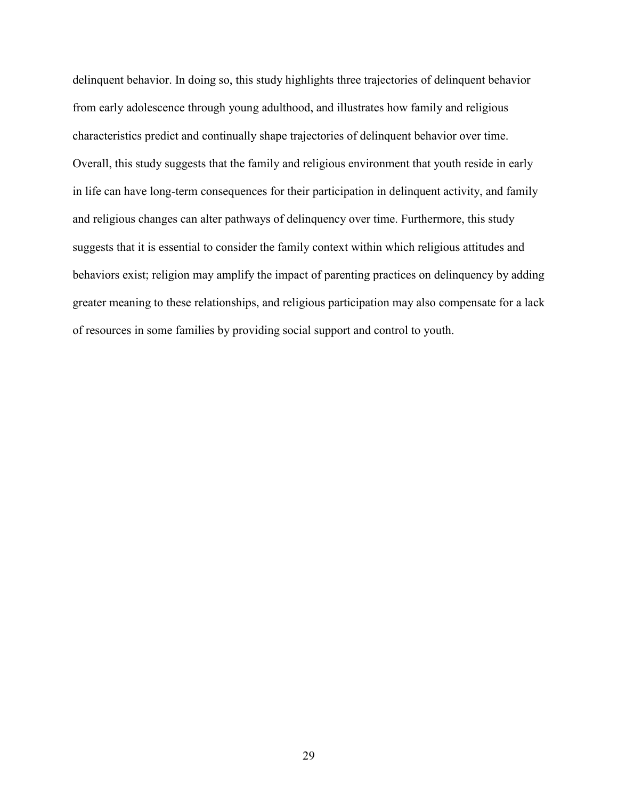delinquent behavior. In doing so, this study highlights three trajectories of delinquent behavior from early adolescence through young adulthood, and illustrates how family and religious characteristics predict and continually shape trajectories of delinquent behavior over time. Overall, this study suggests that the family and religious environment that youth reside in early in life can have long-term consequences for their participation in delinquent activity, and family and religious changes can alter pathways of delinquency over time. Furthermore, this study suggests that it is essential to consider the family context within which religious attitudes and behaviors exist; religion may amplify the impact of parenting practices on delinquency by adding greater meaning to these relationships, and religious participation may also compensate for a lack of resources in some families by providing social support and control to youth.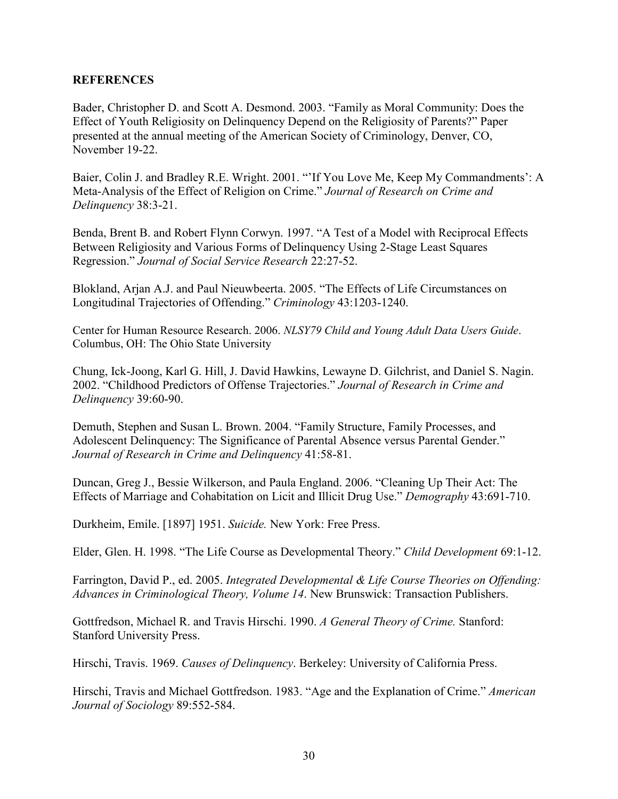## **REFERENCES**

Bader, Christopher D. and Scott A. Desmond. 2003. "Family as Moral Community: Does the Effect of Youth Religiosity on Delinquency Depend on the Religiosity of Parents?" Paper presented at the annual meeting of the American Society of Criminology, Denver, CO, November 19-22.

Baier, Colin J. and Bradley R.E. Wright. 2001. "'If You Love Me, Keep My Commandments': A Meta-Analysis of the Effect of Religion on Crime." *Journal of Research on Crime and Delinquency* 38:3-21.

Benda, Brent B. and Robert Flynn Corwyn. 1997. "A Test of a Model with Reciprocal Effects Between Religiosity and Various Forms of Delinquency Using 2-Stage Least Squares Regression." *Journal of Social Service Research* 22:27-52.

Blokland, Arjan A.J. and Paul Nieuwbeerta. 2005. "The Effects of Life Circumstances on Longitudinal Trajectories of Offending." *Criminology* 43:1203-1240.

Center for Human Resource Research. 2006. *NLSY79 Child and Young Adult Data Users Guide*. Columbus, OH: The Ohio State University

Chung, Ick-Joong, Karl G. Hill, J. David Hawkins, Lewayne D. Gilchrist, and Daniel S. Nagin. 2002. "Childhood Predictors of Offense Trajectories." *Journal of Research in Crime and Delinquency* 39:60-90.

Demuth, Stephen and Susan L. Brown. 2004. "Family Structure, Family Processes, and Adolescent Delinquency: The Significance of Parental Absence versus Parental Gender." *Journal of Research in Crime and Delinquency* 41:58-81.

Duncan, Greg J., Bessie Wilkerson, and Paula England. 2006. "Cleaning Up Their Act: The Effects of Marriage and Cohabitation on Licit and Illicit Drug Use." *Demography* 43:691-710.

Durkheim, Emile. [1897] 1951. *Suicide.* New York: Free Press.

Elder, Glen. H. 1998. "The Life Course as Developmental Theory." *Child Development* 69:1-12.

Farrington, David P., ed. 2005. *Integrated Developmental & Life Course Theories on Offending: Advances in Criminological Theory, Volume 14*. New Brunswick: Transaction Publishers.

Gottfredson, Michael R. and Travis Hirschi. 1990. *A General Theory of Crime.* Stanford: Stanford University Press.

Hirschi, Travis. 1969. *Causes of Delinquency*. Berkeley: University of California Press.

Hirschi, Travis and Michael Gottfredson. 1983. "Age and the Explanation of Crime." *American Journal of Sociology* 89:552-584.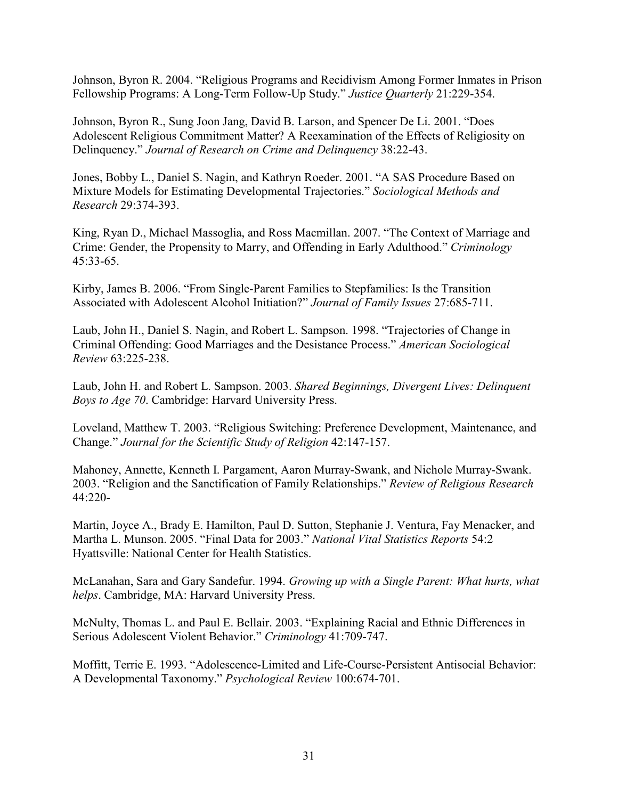Johnson, Byron R. 2004. "Religious Programs and Recidivism Among Former Inmates in Prison Fellowship Programs: A Long-Term Follow-Up Study." *Justice Quarterly* 21:229-354.

Johnson, Byron R., Sung Joon Jang, David B. Larson, and Spencer De Li. 2001. "Does Adolescent Religious Commitment Matter? A Reexamination of the Effects of Religiosity on Delinquency." *Journal of Research on Crime and Delinquency* 38:22-43.

Jones, Bobby L., Daniel S. Nagin, and Kathryn Roeder. 2001. "A SAS Procedure Based on Mixture Models for Estimating Developmental Trajectories." *Sociological Methods and Research* 29:374-393.

King, Ryan D., Michael Massoglia, and Ross Macmillan. 2007. "The Context of Marriage and Crime: Gender, the Propensity to Marry, and Offending in Early Adulthood." *Criminology*  45:33-65.

Kirby, James B. 2006. "From Single-Parent Families to Stepfamilies: Is the Transition Associated with Adolescent Alcohol Initiation?" *Journal of Family Issues* 27:685-711.

Laub, John H., Daniel S. Nagin, and Robert L. Sampson. 1998. "Trajectories of Change in Criminal Offending: Good Marriages and the Desistance Process." *American Sociological Review* 63:225-238.

Laub, John H. and Robert L. Sampson. 2003. *Shared Beginnings, Divergent Lives: Delinquent Boys to Age 70*. Cambridge: Harvard University Press.

Loveland, Matthew T. 2003. "Religious Switching: Preference Development, Maintenance, and Change." *Journal for the Scientific Study of Religion* 42:147-157.

Mahoney, Annette, Kenneth I. Pargament, Aaron Murray-Swank, and Nichole Murray-Swank. 2003. "Religion and the Sanctification of Family Relationships." *Review of Religious Research*  44:220-

Martin, Joyce A., Brady E. Hamilton, Paul D. Sutton, Stephanie J. Ventura, Fay Menacker, and Martha L. Munson. 2005. "Final Data for 2003." *National Vital Statistics Reports* 54:2 Hyattsville: National Center for Health Statistics.

McLanahan, Sara and Gary Sandefur. 1994. *Growing up with a Single Parent: What hurts, what helps*. Cambridge, MA: Harvard University Press.

McNulty, Thomas L. and Paul E. Bellair. 2003. "Explaining Racial and Ethnic Differences in Serious Adolescent Violent Behavior." *Criminology* 41:709-747.

Moffitt, Terrie E. 1993. "Adolescence-Limited and Life-Course-Persistent Antisocial Behavior: A Developmental Taxonomy." *Psychological Review* 100:674-701.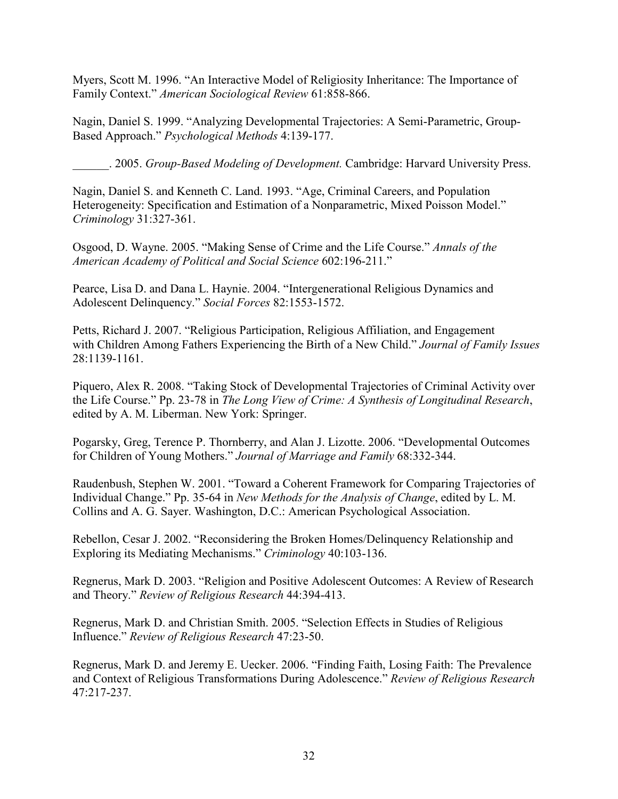Myers, Scott M. 1996. "An Interactive Model of Religiosity Inheritance: The Importance of Family Context." *American Sociological Review* 61:858-866.

Nagin, Daniel S. 1999. "Analyzing Developmental Trajectories: A Semi-Parametric, Group-Based Approach." *Psychological Methods* 4:139-177.

\_\_\_\_\_\_. 2005. *Group-Based Modeling of Development.* Cambridge: Harvard University Press.

Nagin, Daniel S. and Kenneth C. Land. 1993. "Age, Criminal Careers, and Population Heterogeneity: Specification and Estimation of a Nonparametric, Mixed Poisson Model." *Criminology* 31:327-361.

Osgood, D. Wayne. 2005. "Making Sense of Crime and the Life Course." *Annals of the American Academy of Political and Social Science* 602:196-211."

Pearce, Lisa D. and Dana L. Haynie. 2004. "Intergenerational Religious Dynamics and Adolescent Delinquency." *Social Forces* 82:1553-1572.

Petts, Richard J. 2007. "Religious Participation, Religious Affiliation, and Engagement with Children Among Fathers Experiencing the Birth of a New Child." *Journal of Family Issues*  28:1139-1161.

Piquero, Alex R. 2008. "Taking Stock of Developmental Trajectories of Criminal Activity over the Life Course." Pp. 23-78 in *The Long View of Crime: A Synthesis of Longitudinal Research*, edited by A. M. Liberman. New York: Springer.

Pogarsky, Greg, Terence P. Thornberry, and Alan J. Lizotte. 2006. "Developmental Outcomes for Children of Young Mothers." *Journal of Marriage and Family* 68:332-344.

Raudenbush, Stephen W. 2001. "Toward a Coherent Framework for Comparing Trajectories of Individual Change." Pp. 35-64 in *New Methods for the Analysis of Change*, edited by L. M. Collins and A. G. Sayer. Washington, D.C.: American Psychological Association.

Rebellon, Cesar J. 2002. "Reconsidering the Broken Homes/Delinquency Relationship and Exploring its Mediating Mechanisms." *Criminology* 40:103-136.

Regnerus, Mark D. 2003. "Religion and Positive Adolescent Outcomes: A Review of Research and Theory." *Review of Religious Research* 44:394-413.

Regnerus, Mark D. and Christian Smith. 2005. "Selection Effects in Studies of Religious Influence." *Review of Religious Research* 47:23-50.

Regnerus, Mark D. and Jeremy E. Uecker. 2006. "Finding Faith, Losing Faith: The Prevalence and Context of Religious Transformations During Adolescence." *Review of Religious Research*  47:217-237.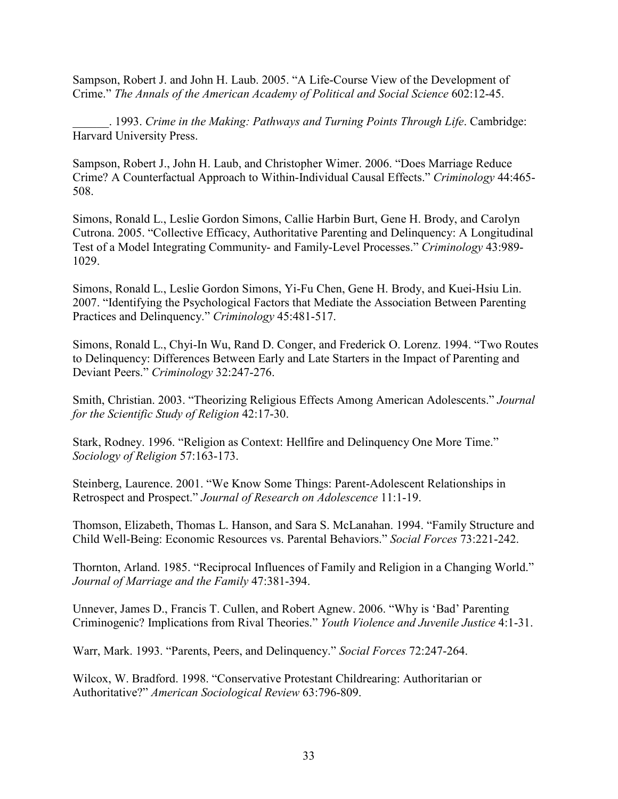Sampson, Robert J. and John H. Laub. 2005. "A Life-Course View of the Development of Crime." *The Annals of the American Academy of Political and Social Science* 602:12-45.

\_\_\_\_\_\_. 1993. *Crime in the Making: Pathways and Turning Points Through Life*. Cambridge: Harvard University Press.

Sampson, Robert J., John H. Laub, and Christopher Wimer. 2006. "Does Marriage Reduce Crime? A Counterfactual Approach to Within-Individual Causal Effects." *Criminology* 44:465- 508.

Simons, Ronald L., Leslie Gordon Simons, Callie Harbin Burt, Gene H. Brody, and Carolyn Cutrona. 2005. "Collective Efficacy, Authoritative Parenting and Delinquency: A Longitudinal Test of a Model Integrating Community- and Family-Level Processes." *Criminology* 43:989- 1029.

Simons, Ronald L., Leslie Gordon Simons, Yi-Fu Chen, Gene H. Brody, and Kuei-Hsiu Lin. 2007. "Identifying the Psychological Factors that Mediate the Association Between Parenting Practices and Delinquency." *Criminology* 45:481-517.

Simons, Ronald L., Chyi-In Wu, Rand D. Conger, and Frederick O. Lorenz. 1994. "Two Routes to Delinquency: Differences Between Early and Late Starters in the Impact of Parenting and Deviant Peers." *Criminology* 32:247-276.

Smith, Christian. 2003. "Theorizing Religious Effects Among American Adolescents." *Journal for the Scientific Study of Religion* 42:17-30.

Stark, Rodney. 1996. "Religion as Context: Hellfire and Delinquency One More Time." *Sociology of Religion* 57:163-173.

Steinberg, Laurence. 2001. "We Know Some Things: Parent-Adolescent Relationships in Retrospect and Prospect." *Journal of Research on Adolescence* 11:1-19.

Thomson, Elizabeth, Thomas L. Hanson, and Sara S. McLanahan. 1994. "Family Structure and Child Well-Being: Economic Resources vs. Parental Behaviors." *Social Forces* 73:221-242.

Thornton, Arland. 1985. "Reciprocal Influences of Family and Religion in a Changing World." *Journal of Marriage and the Family* 47:381-394.

Unnever, James D., Francis T. Cullen, and Robert Agnew. 2006. "Why is 'Bad' Parenting Criminogenic? Implications from Rival Theories." *Youth Violence and Juvenile Justice* 4:1-31.

Warr, Mark. 1993. "Parents, Peers, and Delinquency." *Social Forces* 72:247-264.

Wilcox, W. Bradford. 1998. "Conservative Protestant Childrearing: Authoritarian or Authoritative?" *American Sociological Review* 63:796-809.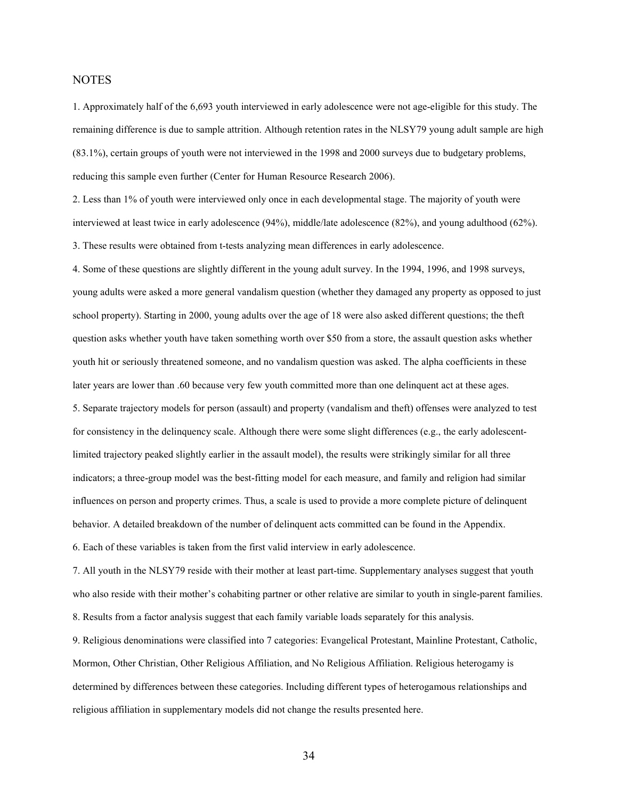#### **NOTES**

1. Approximately half of the 6,693 youth interviewed in early adolescence were not age-eligible for this study. The remaining difference is due to sample attrition. Although retention rates in the NLSY79 young adult sample are high (83.1%), certain groups of youth were not interviewed in the 1998 and 2000 surveys due to budgetary problems, reducing this sample even further (Center for Human Resource Research 2006).

2. Less than 1% of youth were interviewed only once in each developmental stage. The majority of youth were interviewed at least twice in early adolescence (94%), middle/late adolescence (82%), and young adulthood (62%). 3. These results were obtained from t-tests analyzing mean differences in early adolescence.

4. Some of these questions are slightly different in the young adult survey. In the 1994, 1996, and 1998 surveys, young adults were asked a more general vandalism question (whether they damaged any property as opposed to just school property). Starting in 2000, young adults over the age of 18 were also asked different questions; the theft question asks whether youth have taken something worth over \$50 from a store, the assault question asks whether youth hit or seriously threatened someone, and no vandalism question was asked. The alpha coefficients in these later years are lower than .60 because very few youth committed more than one delinquent act at these ages. 5. Separate trajectory models for person (assault) and property (vandalism and theft) offenses were analyzed to test for consistency in the delinquency scale. Although there were some slight differences (e.g., the early adolescentlimited trajectory peaked slightly earlier in the assault model), the results were strikingly similar for all three indicators; a three-group model was the best-fitting model for each measure, and family and religion had similar influences on person and property crimes. Thus, a scale is used to provide a more complete picture of delinquent behavior. A detailed breakdown of the number of delinquent acts committed can be found in the Appendix.

6. Each of these variables is taken from the first valid interview in early adolescence.

7. All youth in the NLSY79 reside with their mother at least part-time. Supplementary analyses suggest that youth who also reside with their mother's cohabiting partner or other relative are similar to youth in single-parent families. 8. Results from a factor analysis suggest that each family variable loads separately for this analysis.

9. Religious denominations were classified into 7 categories: Evangelical Protestant, Mainline Protestant, Catholic, Mormon, Other Christian, Other Religious Affiliation, and No Religious Affiliation. Religious heterogamy is determined by differences between these categories. Including different types of heterogamous relationships and religious affiliation in supplementary models did not change the results presented here.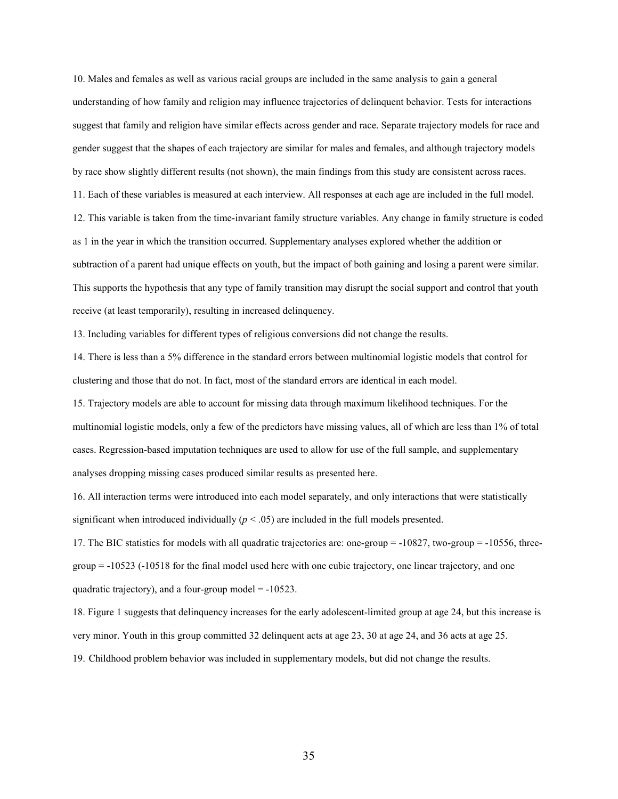10. Males and females as well as various racial groups are included in the same analysis to gain a general understanding of how family and religion may influence trajectories of delinquent behavior. Tests for interactions suggest that family and religion have similar effects across gender and race. Separate trajectory models for race and gender suggest that the shapes of each trajectory are similar for males and females, and although trajectory models by race show slightly different results (not shown), the main findings from this study are consistent across races. 11. Each of these variables is measured at each interview. All responses at each age are included in the full model. 12. This variable is taken from the time-invariant family structure variables. Any change in family structure is coded as 1 in the year in which the transition occurred. Supplementary analyses explored whether the addition or subtraction of a parent had unique effects on youth, but the impact of both gaining and losing a parent were similar. This supports the hypothesis that any type of family transition may disrupt the social support and control that youth receive (at least temporarily), resulting in increased delinquency.

13. Including variables for different types of religious conversions did not change the results.

14. There is less than a 5% difference in the standard errors between multinomial logistic models that control for clustering and those that do not. In fact, most of the standard errors are identical in each model.

15. Trajectory models are able to account for missing data through maximum likelihood techniques. For the multinomial logistic models, only a few of the predictors have missing values, all of which are less than 1% of total cases. Regression-based imputation techniques are used to allow for use of the full sample, and supplementary analyses dropping missing cases produced similar results as presented here.

16. All interaction terms were introduced into each model separately, and only interactions that were statistically significant when introduced individually  $(p < .05)$  are included in the full models presented.

17. The BIC statistics for models with all quadratic trajectories are: one-group = -10827, two-group = -10556, threegroup = -10523 (-10518 for the final model used here with one cubic trajectory, one linear trajectory, and one quadratic trajectory), and a four-group model = -10523.

18. Figure 1 suggests that delinquency increases for the early adolescent-limited group at age 24, but this increase is very minor. Youth in this group committed 32 delinquent acts at age 23, 30 at age 24, and 36 acts at age 25.

19. Childhood problem behavior was included in supplementary models, but did not change the results.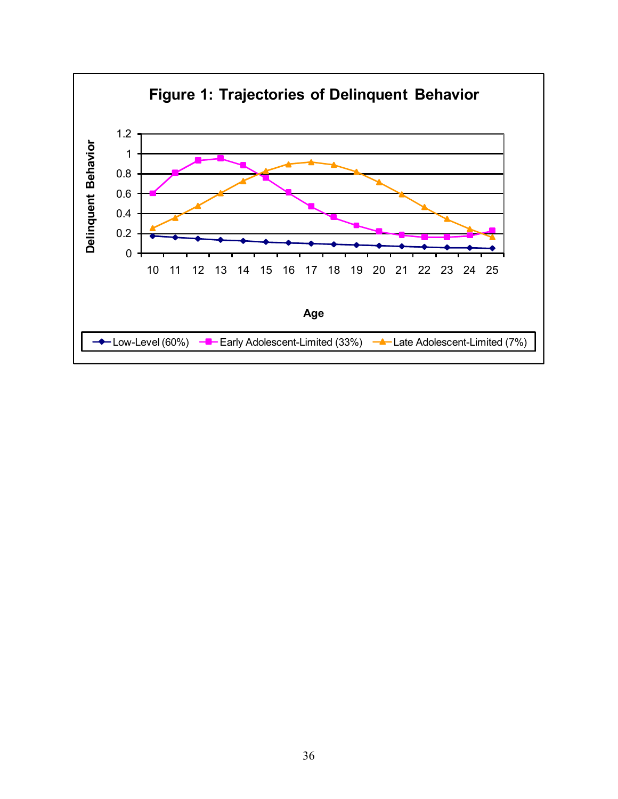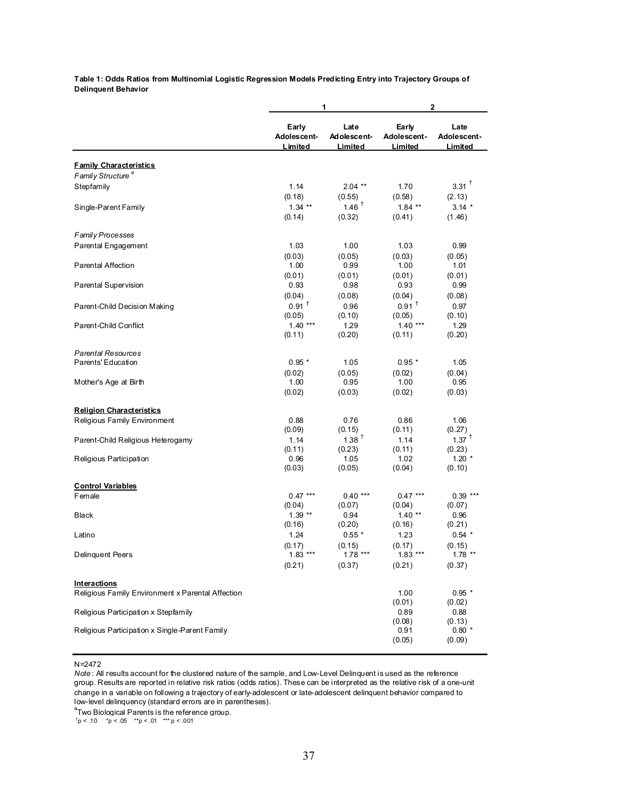**Table 1: Odds Ratios from Multinomial Logistic Regression Models Predicting Entry into Trajectory Groups of Delinquent Behavior**

| Early<br>Late<br>Early<br>Late<br>Adolescent-<br>Adolescent-<br>Adolescent-<br>Adolescent-<br>Limited<br>Limited<br>Limited<br>Limited<br><b>Family Characteristics</b><br>Family Structure <sup>a</sup><br>$3.31$ <sup>+</sup><br>Stepfamily<br>1.14<br>1.70<br>$2.04***$<br>(0.18)<br>(0.55)<br>(0.58)<br>(2.13)<br>$1.46$ <sup>+</sup><br>$1.34$ **<br>$1.84$ **<br>$3.14*$<br>Single-Parent Family<br>(0.14)<br>(0.32)<br>(0.41)<br>(1.46)<br>Family Processes<br>Parental Engagement<br>1.03<br>1.00<br>1.03<br>0.99<br>(0.03)<br>(0.05)<br>(0.03)<br>(0.05)<br><b>Parental Affection</b><br>1.00<br>0.99<br>1.00<br>1.01<br>(0.01)<br>(0.01)<br>(0.01)<br>(0.01)<br>Parental Supervision<br>0.93<br>0.93<br>0.99<br>0.98<br>(0.04)<br>(0.04)<br>(0.08)<br>(0.08)<br>$0.91$ <sup>+</sup><br>$0.91$ <sup>t</sup><br>Parent-Child Decision Making<br>0.96<br>0.97<br>(0.05)<br>(0.10)<br>(0.10)<br>(0.05)<br>$1.40***$<br>1.29<br>$1.40***$<br>Parent-Child Conflict<br>1.29<br>(0.11)<br>(0.20)<br>(0.20)<br>(0.11)<br><b>Parental Resources</b><br>Parents' Education<br>$0.95*$<br>1.05<br>$0.95*$<br>1.05<br>(0.05)<br>(0.02)<br>(0.04)<br>(0.02)<br>1.00<br>0.95<br>1.00<br>0.95<br>Mother's Age at Birth<br>(0.02)<br>(0.02)<br>(0.03)<br>(0.03)<br><b>Religion Characteristics</b><br>Religious Family Environment<br>0.88<br>0.76<br>0.86<br>1.06<br>(0.09)<br>(0.15)<br>(0.27)<br>(0.11)<br>$1.38$ <sup>+</sup><br>$1.37$ <sup>+</sup><br>1.14<br>1.14<br>Parent-Child Religious Heterogamy<br>(0.11)<br>(0.23)<br>(0.23)<br>(0.11)<br>$1.20*$<br>Religious Participation<br>0.96<br>1.05<br>1.02<br>(0.03)<br>(0.05)<br>(0.10)<br>(0.04)<br><b>Control Variables</b><br>$0.47***$<br>$0.40***$<br>$0.47***$<br>Female<br>$0.39***$<br>(0.07)<br>(0.04)<br>(0.04)<br>(0.07)<br>$1.39**$<br>0.94<br>$1.40**$<br>0.96<br><b>Black</b><br>(0.20)<br>(0.21)<br>(0.16)<br>(0.16)<br>1.24<br>$0.55*$<br>1.23<br>$0.54$ *<br>Latino<br>(0.17)<br>(0.15)<br>(0.17)<br>(0.15)<br>Delinquent Peers<br>$1.83***$<br>$1.78***$<br>$1.83***$<br>1.78<br>(0.21)<br>(0.37)<br>(0.21)<br>(0.37)<br>Interactions<br>Religious Family Environment x Parental Affection<br>1.00<br>$0.95*$<br>(0.01)<br>(0.02)<br>Religious Participation x Stepfamily<br>0.89<br>0.88<br>(0.08)<br>(0.13)<br>Religious Participation x Single-Parent Family<br>$0.80*$<br>0.91<br>(0.05)<br>(0.09) |  | 1 | 2 |  |  |  |
|------------------------------------------------------------------------------------------------------------------------------------------------------------------------------------------------------------------------------------------------------------------------------------------------------------------------------------------------------------------------------------------------------------------------------------------------------------------------------------------------------------------------------------------------------------------------------------------------------------------------------------------------------------------------------------------------------------------------------------------------------------------------------------------------------------------------------------------------------------------------------------------------------------------------------------------------------------------------------------------------------------------------------------------------------------------------------------------------------------------------------------------------------------------------------------------------------------------------------------------------------------------------------------------------------------------------------------------------------------------------------------------------------------------------------------------------------------------------------------------------------------------------------------------------------------------------------------------------------------------------------------------------------------------------------------------------------------------------------------------------------------------------------------------------------------------------------------------------------------------------------------------------------------------------------------------------------------------------------------------------------------------------------------------------------------------------------------------------------------------------------------------------------------------------------------------------------------------------------------------------------------------------------------------------------------------------------------------------------------------------------|--|---|---|--|--|--|
|                                                                                                                                                                                                                                                                                                                                                                                                                                                                                                                                                                                                                                                                                                                                                                                                                                                                                                                                                                                                                                                                                                                                                                                                                                                                                                                                                                                                                                                                                                                                                                                                                                                                                                                                                                                                                                                                                                                                                                                                                                                                                                                                                                                                                                                                                                                                                                              |  |   |   |  |  |  |
|                                                                                                                                                                                                                                                                                                                                                                                                                                                                                                                                                                                                                                                                                                                                                                                                                                                                                                                                                                                                                                                                                                                                                                                                                                                                                                                                                                                                                                                                                                                                                                                                                                                                                                                                                                                                                                                                                                                                                                                                                                                                                                                                                                                                                                                                                                                                                                              |  |   |   |  |  |  |
|                                                                                                                                                                                                                                                                                                                                                                                                                                                                                                                                                                                                                                                                                                                                                                                                                                                                                                                                                                                                                                                                                                                                                                                                                                                                                                                                                                                                                                                                                                                                                                                                                                                                                                                                                                                                                                                                                                                                                                                                                                                                                                                                                                                                                                                                                                                                                                              |  |   |   |  |  |  |
|                                                                                                                                                                                                                                                                                                                                                                                                                                                                                                                                                                                                                                                                                                                                                                                                                                                                                                                                                                                                                                                                                                                                                                                                                                                                                                                                                                                                                                                                                                                                                                                                                                                                                                                                                                                                                                                                                                                                                                                                                                                                                                                                                                                                                                                                                                                                                                              |  |   |   |  |  |  |
|                                                                                                                                                                                                                                                                                                                                                                                                                                                                                                                                                                                                                                                                                                                                                                                                                                                                                                                                                                                                                                                                                                                                                                                                                                                                                                                                                                                                                                                                                                                                                                                                                                                                                                                                                                                                                                                                                                                                                                                                                                                                                                                                                                                                                                                                                                                                                                              |  |   |   |  |  |  |
|                                                                                                                                                                                                                                                                                                                                                                                                                                                                                                                                                                                                                                                                                                                                                                                                                                                                                                                                                                                                                                                                                                                                                                                                                                                                                                                                                                                                                                                                                                                                                                                                                                                                                                                                                                                                                                                                                                                                                                                                                                                                                                                                                                                                                                                                                                                                                                              |  |   |   |  |  |  |
|                                                                                                                                                                                                                                                                                                                                                                                                                                                                                                                                                                                                                                                                                                                                                                                                                                                                                                                                                                                                                                                                                                                                                                                                                                                                                                                                                                                                                                                                                                                                                                                                                                                                                                                                                                                                                                                                                                                                                                                                                                                                                                                                                                                                                                                                                                                                                                              |  |   |   |  |  |  |
|                                                                                                                                                                                                                                                                                                                                                                                                                                                                                                                                                                                                                                                                                                                                                                                                                                                                                                                                                                                                                                                                                                                                                                                                                                                                                                                                                                                                                                                                                                                                                                                                                                                                                                                                                                                                                                                                                                                                                                                                                                                                                                                                                                                                                                                                                                                                                                              |  |   |   |  |  |  |
|                                                                                                                                                                                                                                                                                                                                                                                                                                                                                                                                                                                                                                                                                                                                                                                                                                                                                                                                                                                                                                                                                                                                                                                                                                                                                                                                                                                                                                                                                                                                                                                                                                                                                                                                                                                                                                                                                                                                                                                                                                                                                                                                                                                                                                                                                                                                                                              |  |   |   |  |  |  |
|                                                                                                                                                                                                                                                                                                                                                                                                                                                                                                                                                                                                                                                                                                                                                                                                                                                                                                                                                                                                                                                                                                                                                                                                                                                                                                                                                                                                                                                                                                                                                                                                                                                                                                                                                                                                                                                                                                                                                                                                                                                                                                                                                                                                                                                                                                                                                                              |  |   |   |  |  |  |
|                                                                                                                                                                                                                                                                                                                                                                                                                                                                                                                                                                                                                                                                                                                                                                                                                                                                                                                                                                                                                                                                                                                                                                                                                                                                                                                                                                                                                                                                                                                                                                                                                                                                                                                                                                                                                                                                                                                                                                                                                                                                                                                                                                                                                                                                                                                                                                              |  |   |   |  |  |  |
|                                                                                                                                                                                                                                                                                                                                                                                                                                                                                                                                                                                                                                                                                                                                                                                                                                                                                                                                                                                                                                                                                                                                                                                                                                                                                                                                                                                                                                                                                                                                                                                                                                                                                                                                                                                                                                                                                                                                                                                                                                                                                                                                                                                                                                                                                                                                                                              |  |   |   |  |  |  |
|                                                                                                                                                                                                                                                                                                                                                                                                                                                                                                                                                                                                                                                                                                                                                                                                                                                                                                                                                                                                                                                                                                                                                                                                                                                                                                                                                                                                                                                                                                                                                                                                                                                                                                                                                                                                                                                                                                                                                                                                                                                                                                                                                                                                                                                                                                                                                                              |  |   |   |  |  |  |
|                                                                                                                                                                                                                                                                                                                                                                                                                                                                                                                                                                                                                                                                                                                                                                                                                                                                                                                                                                                                                                                                                                                                                                                                                                                                                                                                                                                                                                                                                                                                                                                                                                                                                                                                                                                                                                                                                                                                                                                                                                                                                                                                                                                                                                                                                                                                                                              |  |   |   |  |  |  |
|                                                                                                                                                                                                                                                                                                                                                                                                                                                                                                                                                                                                                                                                                                                                                                                                                                                                                                                                                                                                                                                                                                                                                                                                                                                                                                                                                                                                                                                                                                                                                                                                                                                                                                                                                                                                                                                                                                                                                                                                                                                                                                                                                                                                                                                                                                                                                                              |  |   |   |  |  |  |
|                                                                                                                                                                                                                                                                                                                                                                                                                                                                                                                                                                                                                                                                                                                                                                                                                                                                                                                                                                                                                                                                                                                                                                                                                                                                                                                                                                                                                                                                                                                                                                                                                                                                                                                                                                                                                                                                                                                                                                                                                                                                                                                                                                                                                                                                                                                                                                              |  |   |   |  |  |  |
|                                                                                                                                                                                                                                                                                                                                                                                                                                                                                                                                                                                                                                                                                                                                                                                                                                                                                                                                                                                                                                                                                                                                                                                                                                                                                                                                                                                                                                                                                                                                                                                                                                                                                                                                                                                                                                                                                                                                                                                                                                                                                                                                                                                                                                                                                                                                                                              |  |   |   |  |  |  |
|                                                                                                                                                                                                                                                                                                                                                                                                                                                                                                                                                                                                                                                                                                                                                                                                                                                                                                                                                                                                                                                                                                                                                                                                                                                                                                                                                                                                                                                                                                                                                                                                                                                                                                                                                                                                                                                                                                                                                                                                                                                                                                                                                                                                                                                                                                                                                                              |  |   |   |  |  |  |
|                                                                                                                                                                                                                                                                                                                                                                                                                                                                                                                                                                                                                                                                                                                                                                                                                                                                                                                                                                                                                                                                                                                                                                                                                                                                                                                                                                                                                                                                                                                                                                                                                                                                                                                                                                                                                                                                                                                                                                                                                                                                                                                                                                                                                                                                                                                                                                              |  |   |   |  |  |  |
|                                                                                                                                                                                                                                                                                                                                                                                                                                                                                                                                                                                                                                                                                                                                                                                                                                                                                                                                                                                                                                                                                                                                                                                                                                                                                                                                                                                                                                                                                                                                                                                                                                                                                                                                                                                                                                                                                                                                                                                                                                                                                                                                                                                                                                                                                                                                                                              |  |   |   |  |  |  |
|                                                                                                                                                                                                                                                                                                                                                                                                                                                                                                                                                                                                                                                                                                                                                                                                                                                                                                                                                                                                                                                                                                                                                                                                                                                                                                                                                                                                                                                                                                                                                                                                                                                                                                                                                                                                                                                                                                                                                                                                                                                                                                                                                                                                                                                                                                                                                                              |  |   |   |  |  |  |
|                                                                                                                                                                                                                                                                                                                                                                                                                                                                                                                                                                                                                                                                                                                                                                                                                                                                                                                                                                                                                                                                                                                                                                                                                                                                                                                                                                                                                                                                                                                                                                                                                                                                                                                                                                                                                                                                                                                                                                                                                                                                                                                                                                                                                                                                                                                                                                              |  |   |   |  |  |  |
|                                                                                                                                                                                                                                                                                                                                                                                                                                                                                                                                                                                                                                                                                                                                                                                                                                                                                                                                                                                                                                                                                                                                                                                                                                                                                                                                                                                                                                                                                                                                                                                                                                                                                                                                                                                                                                                                                                                                                                                                                                                                                                                                                                                                                                                                                                                                                                              |  |   |   |  |  |  |
|                                                                                                                                                                                                                                                                                                                                                                                                                                                                                                                                                                                                                                                                                                                                                                                                                                                                                                                                                                                                                                                                                                                                                                                                                                                                                                                                                                                                                                                                                                                                                                                                                                                                                                                                                                                                                                                                                                                                                                                                                                                                                                                                                                                                                                                                                                                                                                              |  |   |   |  |  |  |
|                                                                                                                                                                                                                                                                                                                                                                                                                                                                                                                                                                                                                                                                                                                                                                                                                                                                                                                                                                                                                                                                                                                                                                                                                                                                                                                                                                                                                                                                                                                                                                                                                                                                                                                                                                                                                                                                                                                                                                                                                                                                                                                                                                                                                                                                                                                                                                              |  |   |   |  |  |  |
|                                                                                                                                                                                                                                                                                                                                                                                                                                                                                                                                                                                                                                                                                                                                                                                                                                                                                                                                                                                                                                                                                                                                                                                                                                                                                                                                                                                                                                                                                                                                                                                                                                                                                                                                                                                                                                                                                                                                                                                                                                                                                                                                                                                                                                                                                                                                                                              |  |   |   |  |  |  |
|                                                                                                                                                                                                                                                                                                                                                                                                                                                                                                                                                                                                                                                                                                                                                                                                                                                                                                                                                                                                                                                                                                                                                                                                                                                                                                                                                                                                                                                                                                                                                                                                                                                                                                                                                                                                                                                                                                                                                                                                                                                                                                                                                                                                                                                                                                                                                                              |  |   |   |  |  |  |
|                                                                                                                                                                                                                                                                                                                                                                                                                                                                                                                                                                                                                                                                                                                                                                                                                                                                                                                                                                                                                                                                                                                                                                                                                                                                                                                                                                                                                                                                                                                                                                                                                                                                                                                                                                                                                                                                                                                                                                                                                                                                                                                                                                                                                                                                                                                                                                              |  |   |   |  |  |  |
|                                                                                                                                                                                                                                                                                                                                                                                                                                                                                                                                                                                                                                                                                                                                                                                                                                                                                                                                                                                                                                                                                                                                                                                                                                                                                                                                                                                                                                                                                                                                                                                                                                                                                                                                                                                                                                                                                                                                                                                                                                                                                                                                                                                                                                                                                                                                                                              |  |   |   |  |  |  |
|                                                                                                                                                                                                                                                                                                                                                                                                                                                                                                                                                                                                                                                                                                                                                                                                                                                                                                                                                                                                                                                                                                                                                                                                                                                                                                                                                                                                                                                                                                                                                                                                                                                                                                                                                                                                                                                                                                                                                                                                                                                                                                                                                                                                                                                                                                                                                                              |  |   |   |  |  |  |
|                                                                                                                                                                                                                                                                                                                                                                                                                                                                                                                                                                                                                                                                                                                                                                                                                                                                                                                                                                                                                                                                                                                                                                                                                                                                                                                                                                                                                                                                                                                                                                                                                                                                                                                                                                                                                                                                                                                                                                                                                                                                                                                                                                                                                                                                                                                                                                              |  |   |   |  |  |  |
|                                                                                                                                                                                                                                                                                                                                                                                                                                                                                                                                                                                                                                                                                                                                                                                                                                                                                                                                                                                                                                                                                                                                                                                                                                                                                                                                                                                                                                                                                                                                                                                                                                                                                                                                                                                                                                                                                                                                                                                                                                                                                                                                                                                                                                                                                                                                                                              |  |   |   |  |  |  |
|                                                                                                                                                                                                                                                                                                                                                                                                                                                                                                                                                                                                                                                                                                                                                                                                                                                                                                                                                                                                                                                                                                                                                                                                                                                                                                                                                                                                                                                                                                                                                                                                                                                                                                                                                                                                                                                                                                                                                                                                                                                                                                                                                                                                                                                                                                                                                                              |  |   |   |  |  |  |
|                                                                                                                                                                                                                                                                                                                                                                                                                                                                                                                                                                                                                                                                                                                                                                                                                                                                                                                                                                                                                                                                                                                                                                                                                                                                                                                                                                                                                                                                                                                                                                                                                                                                                                                                                                                                                                                                                                                                                                                                                                                                                                                                                                                                                                                                                                                                                                              |  |   |   |  |  |  |
|                                                                                                                                                                                                                                                                                                                                                                                                                                                                                                                                                                                                                                                                                                                                                                                                                                                                                                                                                                                                                                                                                                                                                                                                                                                                                                                                                                                                                                                                                                                                                                                                                                                                                                                                                                                                                                                                                                                                                                                                                                                                                                                                                                                                                                                                                                                                                                              |  |   |   |  |  |  |
|                                                                                                                                                                                                                                                                                                                                                                                                                                                                                                                                                                                                                                                                                                                                                                                                                                                                                                                                                                                                                                                                                                                                                                                                                                                                                                                                                                                                                                                                                                                                                                                                                                                                                                                                                                                                                                                                                                                                                                                                                                                                                                                                                                                                                                                                                                                                                                              |  |   |   |  |  |  |
|                                                                                                                                                                                                                                                                                                                                                                                                                                                                                                                                                                                                                                                                                                                                                                                                                                                                                                                                                                                                                                                                                                                                                                                                                                                                                                                                                                                                                                                                                                                                                                                                                                                                                                                                                                                                                                                                                                                                                                                                                                                                                                                                                                                                                                                                                                                                                                              |  |   |   |  |  |  |
|                                                                                                                                                                                                                                                                                                                                                                                                                                                                                                                                                                                                                                                                                                                                                                                                                                                                                                                                                                                                                                                                                                                                                                                                                                                                                                                                                                                                                                                                                                                                                                                                                                                                                                                                                                                                                                                                                                                                                                                                                                                                                                                                                                                                                                                                                                                                                                              |  |   |   |  |  |  |
|                                                                                                                                                                                                                                                                                                                                                                                                                                                                                                                                                                                                                                                                                                                                                                                                                                                                                                                                                                                                                                                                                                                                                                                                                                                                                                                                                                                                                                                                                                                                                                                                                                                                                                                                                                                                                                                                                                                                                                                                                                                                                                                                                                                                                                                                                                                                                                              |  |   |   |  |  |  |
|                                                                                                                                                                                                                                                                                                                                                                                                                                                                                                                                                                                                                                                                                                                                                                                                                                                                                                                                                                                                                                                                                                                                                                                                                                                                                                                                                                                                                                                                                                                                                                                                                                                                                                                                                                                                                                                                                                                                                                                                                                                                                                                                                                                                                                                                                                                                                                              |  |   |   |  |  |  |
|                                                                                                                                                                                                                                                                                                                                                                                                                                                                                                                                                                                                                                                                                                                                                                                                                                                                                                                                                                                                                                                                                                                                                                                                                                                                                                                                                                                                                                                                                                                                                                                                                                                                                                                                                                                                                                                                                                                                                                                                                                                                                                                                                                                                                                                                                                                                                                              |  |   |   |  |  |  |
|                                                                                                                                                                                                                                                                                                                                                                                                                                                                                                                                                                                                                                                                                                                                                                                                                                                                                                                                                                                                                                                                                                                                                                                                                                                                                                                                                                                                                                                                                                                                                                                                                                                                                                                                                                                                                                                                                                                                                                                                                                                                                                                                                                                                                                                                                                                                                                              |  |   |   |  |  |  |
|                                                                                                                                                                                                                                                                                                                                                                                                                                                                                                                                                                                                                                                                                                                                                                                                                                                                                                                                                                                                                                                                                                                                                                                                                                                                                                                                                                                                                                                                                                                                                                                                                                                                                                                                                                                                                                                                                                                                                                                                                                                                                                                                                                                                                                                                                                                                                                              |  |   |   |  |  |  |
|                                                                                                                                                                                                                                                                                                                                                                                                                                                                                                                                                                                                                                                                                                                                                                                                                                                                                                                                                                                                                                                                                                                                                                                                                                                                                                                                                                                                                                                                                                                                                                                                                                                                                                                                                                                                                                                                                                                                                                                                                                                                                                                                                                                                                                                                                                                                                                              |  |   |   |  |  |  |
|                                                                                                                                                                                                                                                                                                                                                                                                                                                                                                                                                                                                                                                                                                                                                                                                                                                                                                                                                                                                                                                                                                                                                                                                                                                                                                                                                                                                                                                                                                                                                                                                                                                                                                                                                                                                                                                                                                                                                                                                                                                                                                                                                                                                                                                                                                                                                                              |  |   |   |  |  |  |

N=2472

*Note* : All results account for the clustered nature of the sample, and Low-Level Delinquent is used as the reference group. Results are reported in relative risk ratios (odds ratios). These can be interpreted as the relative risk of a one-unit change in a variable on following a trajectory of early-adolescent or late-adolescent delinquent behavior compared to low-level delinquency (standard errors are in parentheses).

 $\mathrm{^{a}T}$ wo Biological Parents is the reference group.

 $\text{p}$  < .10  $\text{p}$  < .05  $\text{p}$  +x = .01  $\text{p}$  +x = p < .001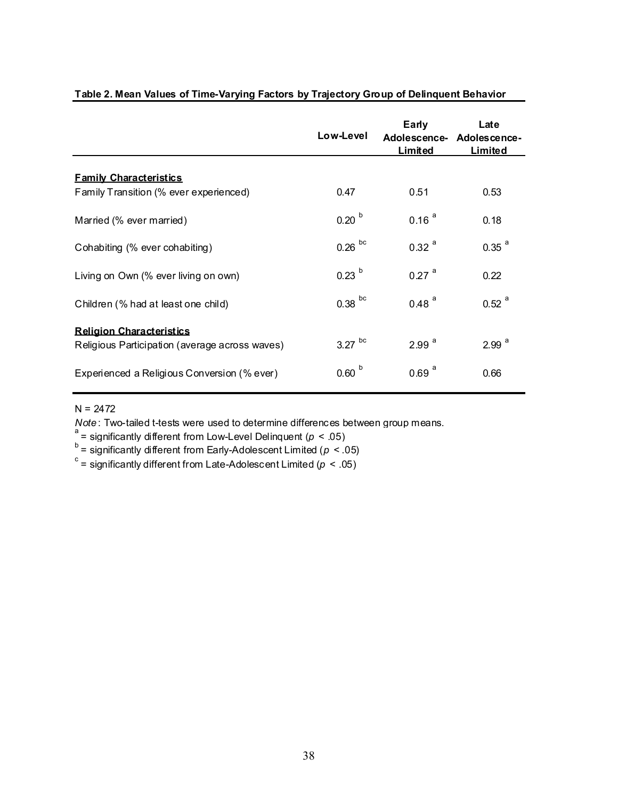|                                                | Low-Level         | Early<br>Limited    | Late<br>Adolescence- Adolescence-<br>Limited |
|------------------------------------------------|-------------------|---------------------|----------------------------------------------|
| <b>Family Characteristics</b>                  |                   |                     |                                              |
| Family Transition (% ever experienced)         | 0.47              | 0.51                | 0.53                                         |
| Married (% ever married)                       | 0.20 <sup>b</sup> | 0.16 <sup>a</sup>   | 0.18                                         |
| Cohabiting (% ever cohabiting)                 | $0.26$ bc         | $0.32$ <sup>a</sup> | $0.35$ <sup>a</sup>                          |
| Living on Own (% ever living on own)           | 0.23 <sup>b</sup> | $0.27$ <sup>a</sup> | 0.22                                         |
| Children (% had at least one child)            | $0.38$ bc         | $0.48$ <sup>a</sup> | $0.52$ <sup>a</sup>                          |
| <b>Religion Characteristics</b>                | $3.27$ bc         | 2.99 <sup>a</sup>   | 2.99 <sup>a</sup>                            |
| Religious Participation (average across waves) |                   |                     |                                              |
| Experienced a Religious Conversion (% ever)    | 0.60 <sup>b</sup> | $0.69$ <sup>a</sup> | 0.66                                         |

## **Table 2. Mean Values of Time-Varying Factors by Trajectory Group of Delinquent Behavior**

N = 2472

*Note* : Two-tailed t-tests were used to determine differences between group means.<br>and the if we the life seat from heard and **P**oliticane to (and PF).

ັ = significantly different from Low-Level Delinquent (*p <* .05)<br><sup>b</sup> = significantly different from Early-Adolescent Limited (*p <* .05)

 $\textdegree$  = significantly different from Late-Adolescent Limited ( $\rho < .05)$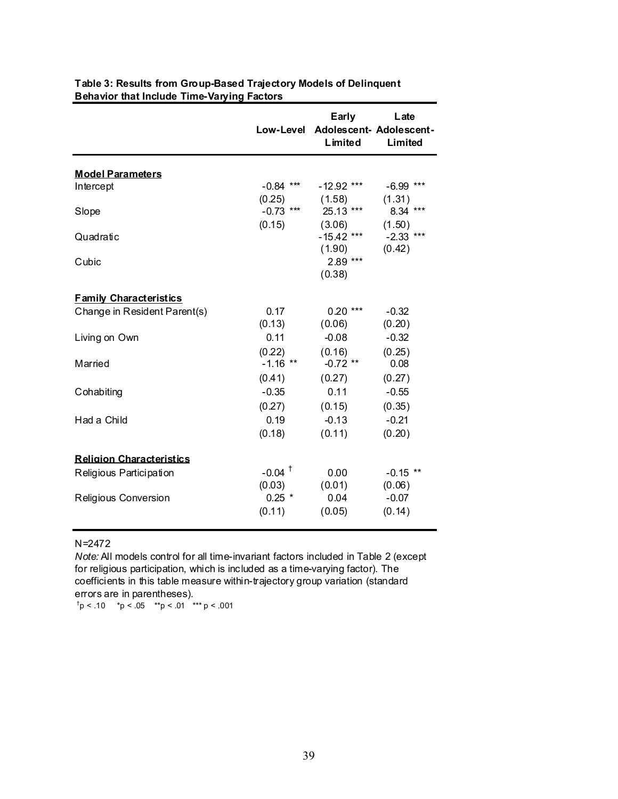|                                 | Low-Level            | Early<br>Limited       | Late<br>Adolescent- Adolescent-<br>Limited |
|---------------------------------|----------------------|------------------------|--------------------------------------------|
| <b>Model Parameters</b>         |                      |                        |                                            |
| Intercept                       | $-0.84$ ***          | $-12.92$ ***           | $-6.99$ ***                                |
|                                 | (0.25)               | (1.58)                 | (1.31)                                     |
| Slope                           | $-0.73$ ***          | 25.13 ***              | 8.34 ***                                   |
|                                 | (0.15)               | (3.06)                 | (1.50)                                     |
| Quadratic                       |                      | $-15.42$ ***<br>(1.90) | $-2.33$ ***<br>(0.42)                      |
| Cubic                           |                      | 2.89 ***<br>(0.38)     |                                            |
| <b>Family Characteristics</b>   |                      |                        |                                            |
| Change in Resident Parent(s)    | 0.17                 | $0.20***$              | $-0.32$                                    |
|                                 | (0.13)               | (0.06)                 | (0.20)                                     |
| Living on Own                   | 0.11                 | $-0.08$                | $-0.32$                                    |
|                                 | (0.22)               | (0.16)                 | (0.25)                                     |
| Married                         | $-1.16$ **           | $-0.72$ **             | 0.08                                       |
|                                 | (0.41)               | (0.27)                 | (0.27)                                     |
| Cohabiting                      | $-0.35$              | 0.11                   | $-0.55$                                    |
| Had a Child                     | (0.27)               | (0.15)                 | (0.35)                                     |
|                                 | 0.19                 | $-0.13$                | $-0.21$                                    |
|                                 | (0.18)               | (0.11)                 | (0.20)                                     |
| <b>Religion Characteristics</b> |                      |                        |                                            |
| Religious Participation         | $-0.04$ <sup>+</sup> | 0.00                   | $-0.15$ **                                 |
|                                 | (0.03)               | (0.01)                 | (0.06)                                     |
| Religious Conversion            | $0.25$ *             | 0.04                   | $-0.07$                                    |
|                                 | (0.11)               | (0.05)                 | (0.14)                                     |
|                                 |                      |                        |                                            |

## **Table 3: Results from Group-Based Trajectory Models of Delinquent Behavior that Include Time-Varying Factors**

#### N=2472

*Note:* All models control for all time-invariant factors included in Table 2 (except for religious participation, which is included as a time-varying factor). The coefficients in this table measure within-trajectory group variation (standard errors are in parentheses).

 $^{\dagger}$ p < .10  $^{\star}$ p < .05  $^{\star\star}$ p < .01  $^{\star\star\star}$ p < .001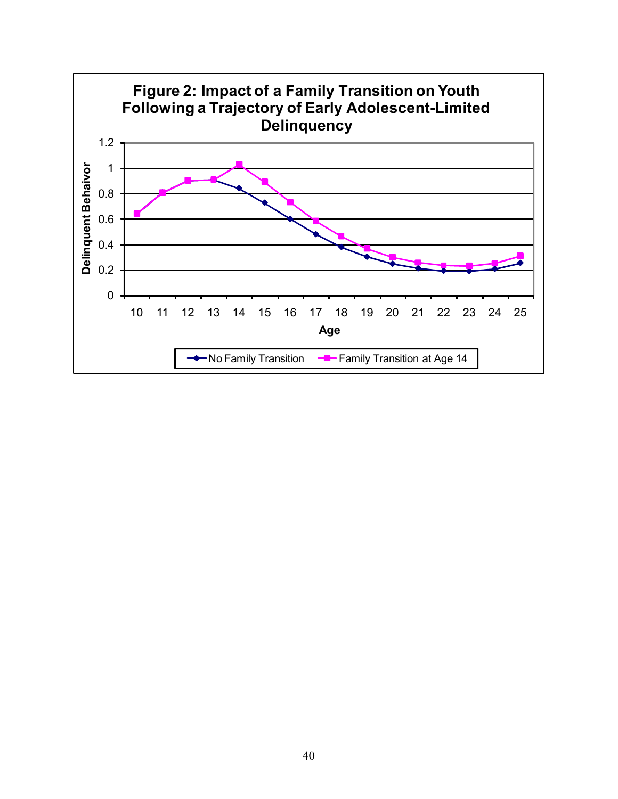